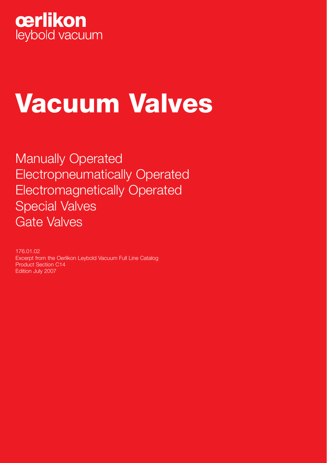

# **Vacuum Valves**

Manually Operated Electropneumatically Operated Electromagnetically Operated Special Valves Gate Valves

176.01.02 Excerpt from the Oerlikon Leybold Vacuum Full Line Catalog Product Section C14 Edition July 2007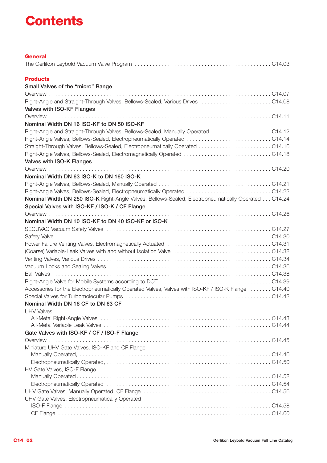### **Contents**

| <b>General</b>                                                                                                |  |
|---------------------------------------------------------------------------------------------------------------|--|
|                                                                                                               |  |
| <b>Products</b>                                                                                               |  |
| Small Valves of the "micro" Range                                                                             |  |
|                                                                                                               |  |
| Right-Angle and Straight-Through Valves, Bellows-Sealed, Various Drives  C14.08                               |  |
| Valves with ISO-KF Flanges                                                                                    |  |
|                                                                                                               |  |
| Nominal Width DN 16 ISO-KF to DN 50 ISO-KF                                                                    |  |
| Right-Angle and Straight-Through Valves, Bellows-Sealed, Manually Operated  C14.12                            |  |
|                                                                                                               |  |
|                                                                                                               |  |
|                                                                                                               |  |
| Valves with ISO-K Flanges                                                                                     |  |
|                                                                                                               |  |
| Nominal Width DN 63 ISO-K to DN 160 ISO-K                                                                     |  |
|                                                                                                               |  |
|                                                                                                               |  |
| Nominal Width DN 250 ISO-K Right-Angle Valves, Bellows-Sealed, Electropneumatically Operated C14.24           |  |
| Special Valves with ISO-KF / ISO-K / CF Flange                                                                |  |
|                                                                                                               |  |
| Nominal Width DN 10 ISO-KF to DN 40 ISO-KF or ISO-K                                                           |  |
|                                                                                                               |  |
|                                                                                                               |  |
|                                                                                                               |  |
|                                                                                                               |  |
|                                                                                                               |  |
|                                                                                                               |  |
|                                                                                                               |  |
| Right-Angle Valve for Mobile Systems according to DOT (and contained contained and contained Valve for Mobile |  |
| Accessories for the Electropneumatically Operated Valves, Valves with ISO-KF / ISO-K Flange C14.40            |  |
|                                                                                                               |  |
| Nominal Width DN 16 CF to DN 63 CF<br><b>UHV Valves</b>                                                       |  |
|                                                                                                               |  |
|                                                                                                               |  |
| Gate Valves with ISO-KF / CF / ISO-F Flange                                                                   |  |
|                                                                                                               |  |
| Miniature UHV Gate Valves, ISO-KF and CF Flange                                                               |  |
|                                                                                                               |  |
|                                                                                                               |  |
| HV Gate Valves, ISO-F Flange                                                                                  |  |
|                                                                                                               |  |
|                                                                                                               |  |
|                                                                                                               |  |
| UHV Gate Valves, Electropneumatically Operated                                                                |  |
|                                                                                                               |  |
|                                                                                                               |  |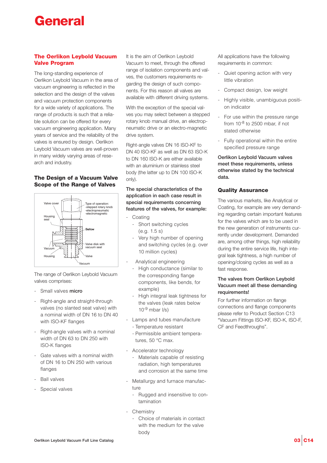### **General**

#### **The Oerlikon Leybold Vacuum Valve Program**

The long-standing experience of Oerlikon Leybold Vacuum in the area of vacuum engineering is reflected in the selection and the design of the valves and vacuum protection components for a wide variety of applications. The range of products is such that a reliable solution can be offered for every vacuum engineering application. Many years of service and the reliability of the valves is ensured by design. Oerlikon Leybold Vacuum valves are well-proven in many widely varying areas of research and industry.

#### **The Design of a Vacuum Valve Scope of the Range of Valves**



The range of Oerlikon Leybold Vacuum valves comprises:

- Small valves **micro**
- Right-angle and straight-through valves (no slanted seat valve) with a nominal width of DN 16 to DN 40 with ISO-KF flanges
- Right-angle valves with a nominal width of DN 63 to DN 250 with ISO-K flanges
- Gate valves with a nominal width of DN 16 to DN 250 with various flanges
- Ball valves
- Special valves

It is the aim of Oerlikon Leybold Vacuum to meet, through the offered range of isolation components and valves, the customers requirements regarding the design of such components. For this reason all valves are available with different driving systems.

With the exception of the special valves you may select between a stepped rotary knob manual drive, an electropneumatic drive or an electro-magnetic drive system.

Right-angle valves DN 16 ISO-KF to DN 40 ISO-KF as well as DN 63 ISO-K to DN 160 ISO-K are either available with an aluminium or stainless steel body (the latter up to DN 100 ISO-K only).

**The special characteristics of the application in each case result in special requirements concerning features of the valves, for example:**

- **Coating** 
	- Short switching cycles (e.g. 1.5 s)
	- Very high number of opening and switching cycles (e.g. over 10 million cycles)
- Analytical engineering
	- High conductance (similar to the corresponding flange components, like bends, for example)
	- High integral leak tightness for the valves (leak rates below  $10^{-9}$  mbar  $\frac{1}{s}$
- Lamps and tubes manufacture
	- Temperature resistant
	- Permissible ambient temperatures, 50 °C max.
- Accelerator technology
	- Materials capable of resisting radiation, high temperatures and corrosion at the same time
- Metallurgy and furnace manufacture
	- Rugged and insensitive to contamination
- Chemistry
	- Choice of materials in contact with the medium for the valve body

All applications have the following requirements in common:

- Quiet opening action with very little vibration
- Compact design, low weight
- Highly visible, unambiguous position indicator
- For use within the pressure range from 10-8 to 2500 mbar, if not stated otherwise
- Fully operational within the entire specified pressure range

**Oerlikon Leybold Vacuum valves meet these requirements, unless otherwise stated by the technical data.**

#### **Quality Assurance**

The various markets, like Analytical or Coating, for example are very demanding regarding certain important features for the valves which are to be used in the new generation of instruments currently under development. Demanded are, among other things, high reliability during the entire service life, high integral leak tightness, a high number of opening/closing cycles as well as a fast response.

#### **The valves from Oerlikon Leybold Vacuum meet all these demanding requirements!**

For further information on flange connections and flange components please refer to Product Section C13 "Vacuum Fittings ISO-KF, ISO-K, ISO-F, CF and Feedthroughs".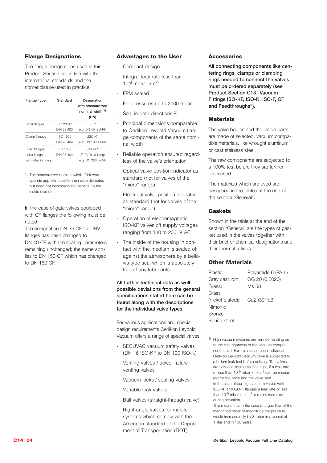#### **Flange Designations**

The flange designations used in this Product Section are in line with the international standards and the nomenclature used in practice:

| <b>Flange Type</b>  | Standard   | Designation<br>with standardized<br>nominal width 1)<br>(DN) |
|---------------------|------------|--------------------------------------------------------------|
| Small flanges       | ISO 2861/I | "KF"                                                         |
|                     | DIN 28 403 | e.g. DN 40 ISO-KF                                            |
| Clamp flanges       | ISO 1609   | "ISO-K"                                                      |
|                     | DIN 28 404 | e.g. DN 100 ISO-K                                            |
| Fixed flanges/      | ISO 1609   | $L$ ISO-F"                                                   |
| collar flanges      | DIN 28 404 | "F" for fixed flange                                         |
| with retaining ring |            | e.a. DN 250 ISO-F                                            |

1) The standardized nominal width (DN) corresponds approximately to the inside diameter, but need not necessarily be identical to the inside diameter.

In the case of gate valves equipped with CF flanges the following must be noted:

The designation DN 35 CF for UHV flanges has been changed to DN 40 CF with the sealing parameters remaining unchanged; the same applies to DN 150 CF which has changed to DN 160 CF.

#### **Advantages to the User**

- Compact design
- Integral leak rate less than  $10^{-8}$  mbar  $1 \times s^{-1}$
- FPM sealed
- For pressures up to 2000 mbar
- Seal in both directions <sup>2)</sup>
- Principal dimensions comparable to Oerlikon Leybold Vacuum flange components of the same nominal width
- Reliable operation ensured regardless of the valve's orientation
- Optical valve position indicator as standard (not for valves of the "micro" range)
- Electrical valve position indicator as standard (not for valves of the "micro" range)
- Operation of electromagnetic ISO-KF valves off supply voltages ranging from 100 to 230 V AC
- The inside of the housing in contact with the medium is sealed off against the atmosphere by a bellows type seal which is absolutely free of any lubricants.

**All further technical data as well possible deviations from the general specifications stated here can be found along with the descriptions for the individual valve types.**

For various applications and special design requirements Oerlikon Leybold Vacuum offers a range of special valves:

- SECUVAC vacuum safety valves (DN 16 ISO-KF to DN 100 ISO-K)
- Venting valves / power failure venting valves
- Vacuum locks / sealing valves
- Variable leak valves
- Ball valves (straight-through valve)
- Right-angle valves for mobile systems which comply with the American standard of the Department of Transportation (DOT)

#### **Accessories**

**All connecting components like centering rings, clamps or clamping rings needed to connect the valves must be ordered separately (see Product Section C13 "Vacuum Fittings ISO-KF, ISO-K, ISO-F, CF and Feedthroughs").**

#### **Materials**

The valve bodies and the inside parts are made of selected, vacuum compatible materials, like wrought aluminum or cast stainless steel.

The raw components are subjected to a 100% test before they are further processed.

The materials which are used are described in the tables at the end of the section "General".

#### **Gaskets**

Shown in the table at the end of the section "General" are the types of gasket used in the valves together with their brief or chemical designations and their thermal ratings.

#### **Other Materials**

| Plastic:         | Polyamide 6 (PA 6) |
|------------------|--------------------|
| Grey cast iron:  | GG 20 (0.6020)     |
| Brass:           | Ms 58              |
| Brass            |                    |
| (nickel-plated): | CuZn39Pb3          |
| Nimonic          |                    |
| <b>Bronze</b>    |                    |
| Spring steel     |                    |

2) High vacuum systems are very demanding as to the leak tightness of the vacuum components used. For this reason each individual Oerlikon Leybold Vacuum valve is subjected to a helium leak test before delivery. The valves are only considered as leak tight, if a leak rate of less than  $10^{-9}$  mbar x l x s<sup>-1</sup> can be measured for the body and the valve seat. In the case of our high vacuum valves with ISO-KF and ISO-K flanges a leak rate of less than  $10^{-9}$  mbar  $x \mid x \mid s^{-1}$  is maintained also during actuation.

This means that in the case of a gas flow of the mentioned order of magnitude the pressure would increase only by 3 mbar in a vessel of 1 liter and in 100 years.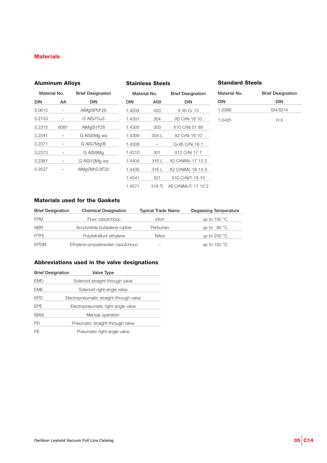#### **Materials**

#### **Aluminum Alloys**

#### **Stainless Steels**

#### **Standard Steels**

| Material No. | <b>Brief Designation</b> |  |  |
|--------------|--------------------------|--|--|
| DIN          | DIN                      |  |  |
| 1.0388       | St4/St14                 |  |  |
| 1.0425       | HШ                       |  |  |

| Material No. |      | <b>Brief Designation</b> | Material No. |             | <b>Brief Designation</b> |
|--------------|------|--------------------------|--------------|-------------|--------------------------|
| <b>DIN</b>   | AA   | <b>DIN</b>               |              | <b>AISI</b> | <b>DIN</b>               |
| 3.0615       |      | AIMgSiPbF28              | 1.4034       | 420         | X 46 Cr 13               |
| 3.2153       |      | G AISi7Cu3               | 1.4301       | 304         | X5 CrNi 18 10            |
| 3.2315       | 6081 | AIMgSi1F28               | 1.4305       | 303         | X10 CrNi 51 89           |
| 3.2341       |      | G AlSi5Mg wa             | 1.4306       | 304 L       | X2 CrNi 18 10            |
| 3.2371       |      | G AISi7Mg06              | 1.4308       |             | G-X6 CrNi 18 1           |
| 3.2373       |      | G AISi9Mg                | 1.4310       | 301         | X12 CrNi 17 7            |
| 3.2381       |      | G AISi10Mg wa            | 1.4404       | 316 L       | X2 CrNiMo 17 13          |
| 3.3527       |      | AlMg2Mn0,8F20            | 1.4435       | 316 L       | X2 CrNiMo 18 14 3        |
|              |      |                          |              |             |                          |

| waterial No. |        | <b>Brief Designation</b> |
|--------------|--------|--------------------------|
| <b>DIN</b>   | AISI   | DIN                      |
| 1.4034       | 420    | X 46 Cr 13               |
| 1.4301       | 304    | X5 CrNi 18 10            |
| 1.4305       | 303    | X10 CrNi 51 89           |
| 1.4306       | 304 L  | X2 CrNi 18 10            |
| 1.4308       |        | G-X6 CrNi 18 1           |
| 1.4310       | 301    | X12 CrNi 17 7            |
| 1.4404       | 316 L  | X2 CrNiMo 17 13 3        |
| 1.4435       | 316 L  | X2 CrNiMo 18 14 3        |
| 1.4541       | 321    | X10 CrNiTi 18 10         |
| 1.4571       | 316 Ti | X6 CrNiMoTi 17 12 2      |
|              |        |                          |

#### **Materials used for the Gaskets**

| <b>Brief Designation</b> | <b>Chemical Designation</b>       | <b>Typical Trade Name</b> | <b>Degassing Temperature</b> |
|--------------------------|-----------------------------------|---------------------------|------------------------------|
| <b>FPM</b>               | Fluor caoutchouc                  | Viton                     | up to $150^{\circ}$ C        |
| <b>NBR</b>               | Acrylonitrile-butadiene rubber    | Perbunan                  | up to $80^{\circ}$ C         |
| <b>PTFE</b>              | Polytetrafluor ethylene           | Teflon                    | up to $250 °C$               |
| <b>EPDM</b>              | Ethylene-propylenedien caoutchouc |                           | up to 150 $\degree$ C        |

#### **Abbreviations used in the valve designations**

| <b>Brief Designation</b> | <b>Valve Type</b>                       |
|--------------------------|-----------------------------------------|
| EMD                      | Solenoid straight-through valve         |
| EME                      | Solenoid right-angle valve              |
| EPD                      | Electropneumatic straight-through valve |
| <b>EPE</b>               | Electropneumatic right-angle valve      |
| MAN                      | Manual operation                        |
| PD                       | Pneumatic straight-through valve        |
| РF                       | Pneumatic right-angle valve             |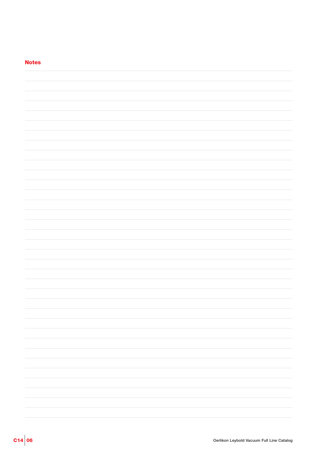| <b>Notes</b> |  |
|--------------|--|
|              |  |
|              |  |
|              |  |
|              |  |
|              |  |
|              |  |
|              |  |
|              |  |
|              |  |
|              |  |
|              |  |
|              |  |
|              |  |
|              |  |
|              |  |
|              |  |
|              |  |
|              |  |
|              |  |
|              |  |
|              |  |
|              |  |
|              |  |
|              |  |
|              |  |
|              |  |
|              |  |
|              |  |
|              |  |
|              |  |
|              |  |
|              |  |
|              |  |
|              |  |
|              |  |
|              |  |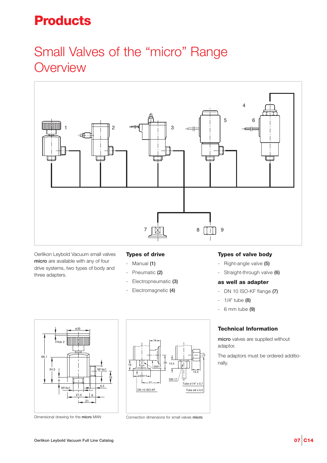### **Products**

### Small Valves of the "micro" Range **Overview**



Oerlikon Leybold Vacuum small valves **micro** are available with any of four drive systems, two types of body and three adapters.

#### **Types of drive**

- Manual **(1)**
- Pneumatic **(2)**
- Electropneumatic **(3)**
- Electromagnetic **(4)**

#### **Types of valve body**

- Right-angle valve **(5)**
- Straight-through valve **(6)**

#### **as well as adapter**

- DN 10 ISO-KF flange **(7)**
- 1/4" tube **(8)**
- 6 mm tube **(9)**

#### **Technical Information**

**micro** valves are supplied without adaptor.

The adaptors must be ordered additionally.



Dimensional drawing for the **micro** MAN



Connection dimensions for small valves **micro**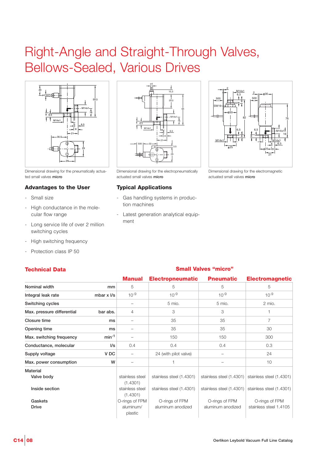### Right-Angle and Straight-Through Valves, Bellows-Sealed, Various Drives



Dimensional drawing for the pneumatically actuated small valves **micro**

#### **Advantages to the User**

- Small size
- High conductance in the molecular flow range
- Long service life of over 2 million switching cycles
- High switching frequency
- Protection class IP 50



Dimensional drawing for the electropneumatically actuated small valves **micro**

#### **Typical Applications**

- Gas handling systems in production machines
- Latest generation analytical equipment



Dimensional drawing for the electromagnetic actuated small valves **micro**

| ICUIIIIUAI DALA            |                        |                             |                          |                          |                          |
|----------------------------|------------------------|-----------------------------|--------------------------|--------------------------|--------------------------|
|                            |                        | <b>Manual</b>               | <b>Electropneumatic</b>  | <b>Pneumatic</b>         | <b>Electromagnetic</b>   |
| Nominal width              | mm                     | 5                           | 5                        | 5                        | 5                        |
| Integral leak rate         | mbar $x$ $\frac{1}{s}$ | $10^{-9}$                   | $10^{-9}$                | $10^{-9}$                | $10^{-9}$                |
| Switching cycles           |                        |                             | 5 mio.                   | 5 mio.                   | 2 mio.                   |
| Max. pressure differential | bar abs.               | 4                           | 3                        | 3                        |                          |
| Closure time               | ms                     |                             | 35                       | 35                       | $\overline{7}$           |
| Opening time               | ms                     |                             | 35                       | 35                       | 30                       |
| Max. switching frequency   | $min-1$                |                             | 150                      | 150                      | 300                      |
| Conductance, molecular     | l/s                    | 0.4                         | 0.4                      | 0.4                      | 0.3                      |
| Supply voltage             | V <sub>DC</sub>        |                             | 24 (with pilot valve)    |                          | 24                       |
| Max. power consumption     | W                      |                             |                          |                          | 10                       |
| Material                   |                        |                             |                          |                          |                          |
| Valve body                 |                        | stainless steel<br>(1.4301) | stainless steel (1.4301) | stainless steel (1.4301) | stainless steel (1.4301) |
| Inside section             |                        | stainless steel<br>(1.4301) | stainless steel (1.4301) | stainless steel (1.4301) | stainless steel (1.4301) |
| Gaskets                    |                        | O-rings of FPM              | O-rings of FPM           | O-rings of FPM           | O-rings of FPM           |
| <b>Drive</b>               |                        | aluminum/<br>plastic        | aluminum anodized        | aluminum anodized        | stainless steel 1.4105   |

#### **Technical Data Small Valves "micro"**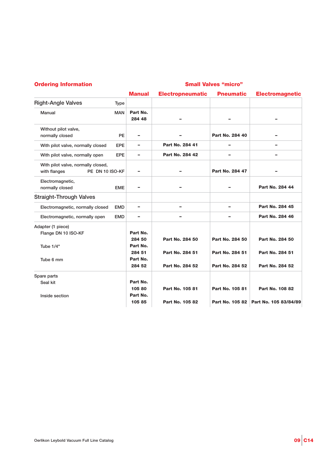#### **Ordering Information**

#### **Small Valves "micro"**

|                                                                       |             | <b>Manual</b>      | <b>Electropneumatic</b> | <b>Pneumatic</b> | <b>Electromagnetic</b> |
|-----------------------------------------------------------------------|-------------|--------------------|-------------------------|------------------|------------------------|
| <b>Right-Angle Valves</b>                                             | <b>Type</b> |                    |                         |                  |                        |
| Manual                                                                | <b>MAN</b>  | Part No.<br>284 48 |                         |                  |                        |
| Without pilot valve,<br>normally closed                               | PE          | $\equiv$           |                         | Part No. 284 40  |                        |
| With pilot valve, normally closed                                     | <b>EPE</b>  | -                  | Part No. 284 41         | $\overline{a}$   | -                      |
| With pilot valve, normally open                                       | EPE         | -                  | Part No. 284 42         | -                | -                      |
| With pilot valve, normally closed,<br>with flanges<br>PE DN 10 ISO-KF |             |                    |                         | Part No. 284 47  |                        |
| Electromagnetic,<br>normally closed                                   | <b>EME</b>  | -                  |                         | -                | Part No. 284 44        |
| <b>Straight-Through Valves</b>                                        |             |                    |                         |                  |                        |
| Electromagnetic, normally closed                                      | <b>EMD</b>  | -                  | -                       | $\equiv$         | Part No. 284 45        |
| Electromagnetic, normally open                                        | <b>EMD</b>  | -                  |                         | -                | Part No. 284 46        |
| Adapter (1 piece)<br>Flange DN 10 ISO-KF                              |             | Part No.           |                         |                  |                        |
| Tube 1/4"                                                             |             | 284 50<br>Part No. | Part No. 284 50         | Part No. 284 50  | Part No. 284 50        |
| Tube 6 mm                                                             |             | 284 51<br>Part No. | Part No. 284 51         | Part No. 284 51  | Part No. 284 51        |
|                                                                       |             | 284 52             | Part No. 284 52         | Part No. 284 52  | Part No. 284 52        |
| Spare parts                                                           |             |                    |                         |                  |                        |
| Seal kit                                                              |             | Part No.           |                         |                  |                        |
|                                                                       |             | 105 80             | Part No. 105 81         | Part No. 105 81  | Part No. 108 82        |
| Inside section                                                        |             | Part No.<br>105 85 | Part No. 105 82         | Part No. 105 82  | Part No. 105 83/84/89  |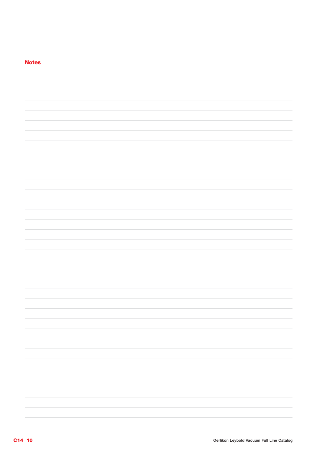| <b>Notes</b> |  |
|--------------|--|
|              |  |
|              |  |
|              |  |
|              |  |
|              |  |
|              |  |
|              |  |
|              |  |
|              |  |
|              |  |
|              |  |
|              |  |
|              |  |
|              |  |
|              |  |
|              |  |
|              |  |
|              |  |
|              |  |
|              |  |
|              |  |
|              |  |
|              |  |
|              |  |
|              |  |
|              |  |
|              |  |
|              |  |
|              |  |
|              |  |
|              |  |
|              |  |
|              |  |
|              |  |
|              |  |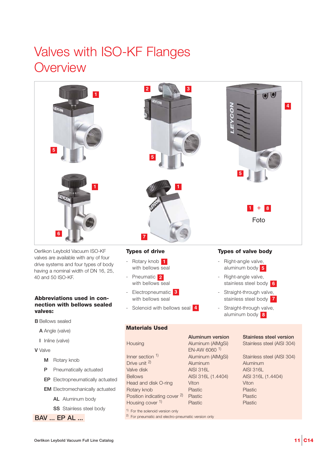### Valves with ISO-KF Flanges **Overview**



Oerlikon Leybold Vacuum ISO-KF valves are available with any of four drive systems and four types of body having a nominal width of DN 16, 25, 40 and 50 ISO-KF.

#### **Abbreviations used in connection with bellows sealed valves:**

- **B** Bellows sealed
	- **A** Angle (valve)
	- **I** Inline (valve)
- **V** Valve
	- **M** Rotary knob
	- **P** Pneumatically actuated
	- **EP** Electropneumatically actuated
	- **EM** Electromechanically actuated
		- **AL** Aluminum body
		- **SS** Stainless steel body
- **BAV ... EP AL ...**

#### **Types of drive**

- Rotary knob **1** with bellows seal
- Pneumatic **2** with bellows seal
- Electropneumatic **3** with bellows seal
- Solenoid with bellows seal **4**

### **Materials Used**

Inner section <sup>1)</sup> Aluminum (AlMgSi) Stainless steel (AISI 304) Drive unit 2) Aluminum Aluminum Valve disk AISI 316L AISI 316L AISI 316L Bellows AISI 316L (1.4404) AISI 316L (1.4404) Head and disk O-ring Viton Viton **Rotary knob** Plastic Plastic Plastic Plastic Position indicating cover <sup>2)</sup> Plastic Plastic Plastic Housing cover <sup>1)</sup> Plastic Plastic Plastic

1) For the solenoid version only

2) For pneumatic and electro-pneumatic version only

EN-AW 6060 1)

#### **Aluminum version Stainless steel version**

Right-angle valve, aluminum body **5** Right-angle valve, stainless steel body **6** Straight-through valve, stainless steel body **7** Straight-through valve, aluminum body **8**

Housing Aluminum (AlMgSi) Stainless steel (AISI 304)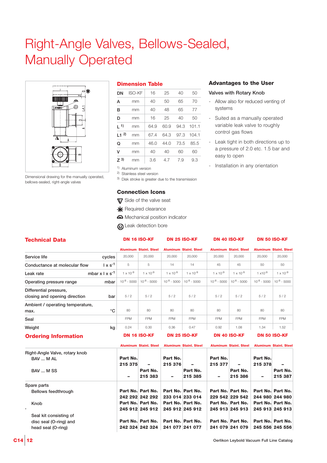### Right-Angle Valves, Bellows-Sealed, Manually Operated



Dimensional drawing for the manually operated, bellows-sealed, right-angle valves

#### **Dimension Table**

| DN        | <b>ISO-KF</b> | 16   | 25   | 40   | 50    |
|-----------|---------------|------|------|------|-------|
| А         | mm            | 40   | 50   | 65   | 70    |
| в         | mm            | 40   | 48   | 65   | 77    |
| D         | mm            | 16   | 25   | 40   | 50    |
| $1^{1}$   | mm            | 64.9 | 60.9 | 94.3 | 101.1 |
| $L1^{2}$  | mm            | 67.4 | 64.3 | 97.3 | 104.1 |
| Q         | mm            | 46.0 | 44.0 | 73.5 | 85.5  |
| ۷         | mm            | 40   | 40   | 60   | 60    |
| $Z^{(3)}$ | mm            | 3.6  | 4.7  | 7.9  | 9.3   |
|           |               |      |      |      |       |

1) Aluminum version

2) Stainless steel version

3) Disk stroke is greater due to the transmission

#### **Connection Icons**

- **V7** Side of the valve seat
- **\*** Required clearance
- Mechanical position indicator
- **@** Leak detection bore

#### **Advantages to the User**

#### **Valves with Rotary Knob**

- Allow also for reduced venting of systems
- Suited as a manually operated variable leak valve to roughly control gas flows
- Leak tight in both directions up to a pressure of 2.0 etc. 1.5 bar and easy to open
- Installation in any orientation

| <b>Technical Data</b>            |                             |                    | <b>DN 16 ISO-KF</b><br><b>DN 25 ISO-KF</b> |                    |                               | <b>DN 40 ISO-KF</b> |                               | <b>DN 50 ISO-KF</b> |                               |
|----------------------------------|-----------------------------|--------------------|--------------------------------------------|--------------------|-------------------------------|---------------------|-------------------------------|---------------------|-------------------------------|
|                                  |                             |                    | <b>Aluminum Stainl, Steel</b>              |                    | <b>Aluminum Stainl, Steel</b> |                     | <b>Aluminum Stainl, Steel</b> |                     | <b>Aluminum Stainl, Steel</b> |
| Service life                     | cycles                      | 20,000             | 20,000                                     | 20,000             | 20,000                        | 20,000              | 20,000                        | 20,000              | 20,000                        |
| Conductance at molecular flow    | $1 \times s^{-1}$           | 5                  | 5                                          | 14                 | 14                            | 45                  | 45                            | 50                  | 50                            |
| Leak rate                        | mbar $x \mid x \mid s^{-1}$ | $1 \times 10^{-9}$ | $1 \times 10^{-9}$                         | $1 \times 10^{-9}$ | $1 \times 10^{-9}$            | $1 \times 10^{-9}$  | $1 \times 10^{-9}$            | $1 \times 10^{-9}$  | x 10 <sup>-9</sup>            |
| Operating pressure range         | mbar                        | $10^{-8} - 5000$   | $10^{-8} - 5000$                           | $10^{-8} - 5000$   | $10^{-8} - 5000$              | $10^{-8} - 5000$    | $10^{-8} - 5000$              | $10^{-8} - 5000$    | $10^{-8} - 5000$              |
| Differential pressure,           |                             |                    |                                            |                    |                               |                     |                               |                     |                               |
| closing and opening direction    | bar                         | 5/2                | 5/2                                        | 5/2                | 5/2                           | 5/2                 | 5/2                           | 5/2                 | 5/2                           |
| Ambient / operating temperature, |                             |                    |                                            |                    |                               |                     |                               |                     |                               |
| max.                             | °C                          | 80                 | 80                                         | 80                 | 80                            | 80                  | 80                            | 80                  | 80                            |
| Seal                             |                             | <b>FPM</b>         | <b>FPM</b>                                 | <b>FPM</b>         | <b>FPM</b>                    | <b>FPM</b>          | <b>FPM</b>                    | <b>FPM</b>          | <b>FPM</b>                    |
| Weight                           | kg                          | 0.24               | 0.30                                       | 0.36               | 0.47                          | 0.92                | 1.08                          | 1.34                | 1.52                          |
| Ordoring Information             |                             |                    | DN 16 ISO-KF                               |                    | <b>DN 25 ISO-KF</b>           |                     | DN 40 ISO-KF                  |                     | DN 50 ISO-KF                  |

#### **Ordering Information**

|                                |          | <b>Aluminum Stainl, Steel</b> |                          | <b>Aluminum Stainl, Steel</b> |          | <b>Aluminum Stainl, Steel</b> |          | <b>Aluminum Stainl, Steel</b> |
|--------------------------------|----------|-------------------------------|--------------------------|-------------------------------|----------|-------------------------------|----------|-------------------------------|
| Right-Angle Valve, rotary knob |          |                               |                          |                               |          |                               |          |                               |
| BAV  M AL                      | Part No. |                               | Part No.                 |                               | Part No. |                               | Part No. |                               |
|                                | 215 375  | ۰                             | 215 376                  |                               | 215 377  | $\overline{\phantom{0}}$      | 215 378  |                               |
| BAV  M SS                      |          | Part No.                      |                          | Part No.                      |          | Part No.                      |          | Part No.                      |
|                                | -        | 215 383                       | $\overline{\phantom{0}}$ | 215 385                       | -        | 215 386                       | ۰        | 215 387                       |
| Spare parts                    |          |                               |                          |                               |          |                               |          |                               |
| Bellows feedthrough            |          | Part No. Part No.             |                          | Part No. Part No.             |          | Part No. Part No.             |          | Part No. Part No.             |
|                                |          | 242 292 242 292               |                          | 233 014 233 014               |          | 229 542 229 542               |          | 244 980 244 980               |
| Knob                           |          | Part No. Part No.             |                          | Part No. Part No.             |          | Part No. Part No.             |          | Part No. Part No.             |
| $\epsilon$                     |          | 245 912 245 912               |                          | 245 912 245 912               |          | 245 913 245 913               |          | 245 913 245 913               |
| Seal kit consisting of         |          |                               |                          |                               |          |                               |          |                               |
| disc seal (O-ring) and         |          | Part No. Part No.             |                          | Part No. Part No.             |          | Part No. Part No.             |          | Part No. Part No.             |
| head seal (O-ring)             |          | 242 324 242 324               | 241 077 241 077          |                               |          | 241 079 241 079               |          | 245 556 245 556               |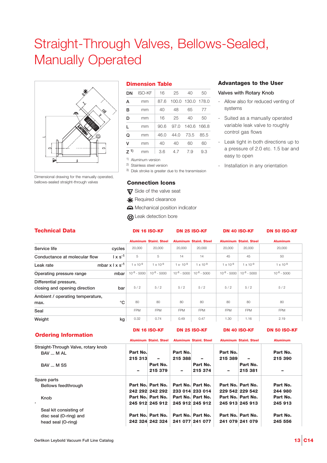### Straight-Through Valves, Bellows-Sealed, Manually Operated



Dimensional drawing for the manually operated, bellows-sealed straight-through valves

#### **Dimension Table**

| DN        | <b>ISO-KF</b> | 16   | 25         | 40                | 50   |
|-----------|---------------|------|------------|-------------------|------|
| А         | mm            | 87.6 |            | 100.0 130.0 178.0 |      |
| в         | mm            | 40   | 48         | 65                | 77   |
| D         | mm            | 16   | 25         | 40                | 50   |
| L         | mm            | 90.6 | 97.0       | 140.6 166.8       |      |
| Q         | mm            | 46.0 | 44. $\cap$ | 73.5              | 85.5 |
| v         | mm            | 40   | 40         | 60                | 60   |
| $Z^{(1)}$ | mm            | 3.6  | 4.7        | 7.9               | 9.3  |

1) Aluminum version

2) Stainless steel version

3) Disk stroke is greater due to the transmission

#### **Connection Icons**

**V7** Side of the valve seat

**\*** Required clearance

- Mechanical position indicator
- **G** Leak detection bore

#### **Advantages to the User**

#### **Valves with Rotary Knob**

- Allow also for reduced venting of systems
- Suited as a manually operated variable leak valve to roughly control gas flows
- Leak tight in both directions up to a pressure of 2.0 etc. 1.5 bar and easy to open
- Installation in any orientation

| <b>Technical Data</b>                                   |                   |                    | <b>DN 16 ISO-KF</b>           |                    | <b>DN 25 ISO-KF</b>           | <b>DN 40 ISO-KF</b> |                               | <b>DN 50 ISO-KF</b> |
|---------------------------------------------------------|-------------------|--------------------|-------------------------------|--------------------|-------------------------------|---------------------|-------------------------------|---------------------|
|                                                         |                   |                    | <b>Aluminum Stainl, Steel</b> |                    | <b>Aluminum Stainl, Steel</b> |                     | <b>Aluminum Stainl, Steel</b> | <b>Aluminum</b>     |
| Service life                                            | cycles            | 20,000             | 20,000                        | 20,000             | 20,000                        | 20,000              | 20,000                        | 20,000              |
| Conductance at molecular flow                           | $1 \times s^{-1}$ | 5                  | 5                             | 14                 | 14                            | 45                  | 45                            | 50                  |
| mbar $x \mid x \mid s^{-1}$<br>Leak rate                |                   | $1 \times 10^{-9}$ | $1 \times 10^{-9}$            | $1 \times 10^{-9}$ | $1 \times 10^{-9}$            | $1 \times 10^{-9}$  | $1 \times 10^{-9}$            | $1 \times 10^{-9}$  |
| Operating pressure range                                | mbar              | $10^{-8} - 5000$   | $10^{-8} - 5000$              | $10^{-8} - 5000$   | $10^{-8} - 5000$              | $10^{-8} - 5000$    | $10^{-8} - 5000$              | $10^{-8} - 5000$    |
| Differential pressure,<br>closing and opening direction | bar               | 5/2                | 5/2                           | 5/2                | 5/2                           | 5/2                 | 5/2                           | 5/2                 |
| Ambient / operating temperature,<br>max.                | °C                | 80                 | 80                            | 80                 | 80                            | 80                  | 80                            | 80                  |
| Seal                                                    |                   | <b>FPM</b>         | <b>FPM</b>                    | <b>FPM</b>         | <b>FPM</b>                    | <b>FPM</b>          | <b>FPM</b>                    | <b>FPM</b>          |
| Weight                                                  | kg                | 0.32               | 0.74                          | 0.49               | 0.47                          | 1.30                | 1.16                          | 2.19                |

#### **Ordering Information**

|  | <b>DN 16 ISO-KF</b> | <b>DN 25 ISO-KF</b> | <b>DN 40 ISO-KF</b> | <b>DN 50 ISO-KF</b> |
|--|---------------------|---------------------|---------------------|---------------------|
|--|---------------------|---------------------|---------------------|---------------------|

|                                     |                          | <b>Aluminum Stainl, Steel</b> |          | <b>Aluminum Stainl, Steel</b> |          | <b>Aluminum Stainl, Steel</b> | <b>Aluminum</b> |
|-------------------------------------|--------------------------|-------------------------------|----------|-------------------------------|----------|-------------------------------|-----------------|
| Straight-Through Valve, rotary knob |                          |                               |          |                               |          |                               |                 |
| BAV  M AL                           | Part No.                 |                               | Part No. |                               | Part No. |                               | Part No.        |
|                                     | 215 313                  | $\overline{\phantom{0}}$      | 215 388  | -                             | 215 389  | $\overline{\phantom{0}}$      | 215 390         |
| BAV  M SS                           |                          | Part No.                      |          | Part No.                      |          | Part No.                      |                 |
|                                     | $\overline{\phantom{a}}$ | 215 379                       | -        | 215 374                       | -        | 215 381                       |                 |
| Spare parts                         |                          |                               |          |                               |          |                               |                 |
| Bellows feedthrough                 |                          | Part No. Part No.             |          | Part No. Part No.             |          | Part No. Part No.             | Part No.        |
|                                     |                          | 242 292 242 292               |          | 233 014 233 014               |          | 229 542 229 542               | 244 980         |
| Knob                                |                          | Part No. Part No.             |          | Part No. Part No.             |          | Part No. Part No.             | Part No.        |
|                                     |                          | 245 912 245 912               |          | 245 912 245 912               |          | 245 913 245 913               | 245 913         |
| Seal kit consisting of              |                          |                               |          |                               |          |                               |                 |
| disc seal (O-ring) and              |                          | Part No. Part No.             |          | Part No. Part No.             |          | Part No. Part No.             | Part No.        |
| head seal (O-ring)                  |                          | 242 324 242 324               |          | 241 077 241 077               |          | 241 079 241 079               | 245 556         |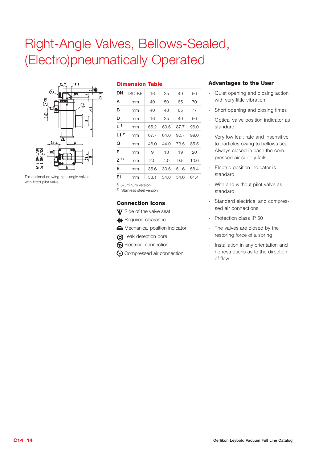### Right-Angle Valves, Bellows-Sealed, (Electro)pneumatically Operated



Dimensional drawing right-angle valves, with fitted pilot valve

| <b>Dimension Table</b> |
|------------------------|
|------------------------|

| DΝ                  | <b>ISO-KF</b> | 16   | 25   | 40   | 50   |
|---------------------|---------------|------|------|------|------|
| А                   | mm            | 40   | 50   | 65   | 70   |
| в                   | mm            | 40   | 48   | 65   | 77   |
| D                   | mm            | 16   | 25   | 40   | 50   |
| $\lfloor 1 \rfloor$ | mm            | 65.2 | 60.6 | 87.7 | 96.0 |
| L1 <sup>2</sup>     | mm            | 67.7 | 64.0 | 90.7 | 99.0 |
| Q                   | mm            | 46.0 | 44.0 | 73.5 | 85.5 |
| F                   | mm            | 9    | 13   | 19   | 20   |
| $Z^{(1)}$           | mm            | 2.0  | 4.0  | 9.5  | 10.0 |
| Е                   | mm            | 35.6 | 30.6 | 51.6 | 58.4 |
| E1                  | mm            | 38.1 | 34.0 | 54.6 | 61.4 |

1) Aluminum version

2) Stainless steel version

#### **Connection Icons**

- **V** Side of the valve seat
- **\*** Required clearance
- Mechanical position indicator
- **G**) Leak detection bore
- Electrical connection
- Compressed air connection

- Quiet opening and closing action with very little vibration
- Short opening and closing times
- Optical valve position indicator as standard
- Very low leak rate and insensitive to particles owing to bellows seal. Always closed in case the compressed air supply fails
- Electric position indicator is standard
- With and without pilot valve as standard
- Standard electrical and compressed air connections
- Protection class IP 50
- The valves are closed by the restoring force of a spring
- Installation in any orientation and no restrictions as to the direction of flow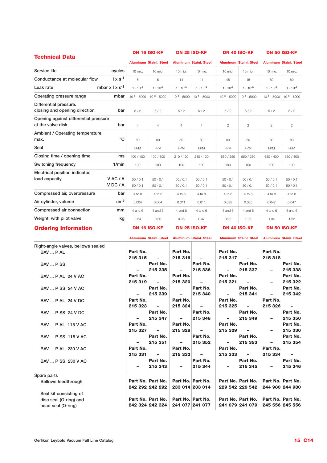| <b>Technical Data</b>                                      |                             | <b>DN 16 ISO-KF</b> |                               | <b>DN 25 ISO-KF</b> |                               | <b>DN 40 ISO-KF</b> |                               | <b>DN 50 ISO-KF</b> |                               |
|------------------------------------------------------------|-----------------------------|---------------------|-------------------------------|---------------------|-------------------------------|---------------------|-------------------------------|---------------------|-------------------------------|
|                                                            |                             |                     | <b>Aluminum Stainl. Steel</b> |                     | <b>Aluminum Stainl, Steel</b> |                     | <b>Aluminum Stainl. Steel</b> |                     | <b>Aluminum Stainl, Steel</b> |
| Service life                                               | cycles                      | 10 mio.             | 10 mio.                       | 10 mio.             | 10 mio.                       | 10 mio.             | 10 mio.                       | 10 mio.             | 10 mio.                       |
| Conductance at molecular flow                              | $1 \times s^{-1}$           | 5                   | 5                             | 14                  | 14                            | 45                  | 45                            | 80                  | 80                            |
| Leak rate                                                  | mbar $x \mid x \mid s^{-1}$ | $1 \cdot 10^{-9}$   | $1 \cdot 10^{-9}$             | $1 \cdot 10^{-9}$   | $1 \cdot 10^{-9}$             | $1 \cdot 10^{-9}$   | $1 \cdot 10^{-9}$             | $1 \cdot 10^{-9}$   | $1 \cdot 10^{-9}$             |
| Operating pressure range                                   | mbar                        | $10^{-8} - 5000$    | $10^{-8} - 5000$              | $10^{-8} - 5000$    | $10^{-8} - 5000$              | $10^{-8} - 5000$    | $10^{-8} - 5000$              | $10^{-8} - 5000$    | $10^{-8} - 5000$              |
| Differential pressure.<br>closing and opening direction    | bar                         | 5/2                 | 5/2                           | 5/2                 | 5/2                           | 5/2                 | 5/2                           | 5/2                 | 5/2                           |
| Opening against differential pressure<br>at the valve disk | bar                         | $\overline{4}$      | $\overline{4}$                | $\overline{4}$      | $\overline{4}$                | $\overline{c}$      | $\mathbf{2}$                  | $\mathbf{2}$        | $\overline{c}$                |
| Ambient / Operating temperature,<br>max.                   | $^{\circ}C$                 | 80                  | 80                            | 80                  | 80                            | 80                  | 80                            | 80                  | 80                            |
| Seal                                                       |                             | <b>FPM</b>          | <b>FPM</b>                    | <b>FPM</b>          | <b>FPM</b>                    | <b>FPM</b>          | <b>FPM</b>                    | <b>FPM</b>          | <b>FPM</b>                    |
| Closing time / opening time                                | ms                          | 100 / 100           | 100/100                       | 210 / 120           | 210 / 120                     | 550 / 250           | 550 / 250                     | 650 / 400           | 650 / 400                     |
| Switching frequency                                        | 1/min                       | 100                 | 100                           | 100                 | 100                           | 100                 | 100                           | 100                 | 100                           |
| Electrical position indicator,<br>load capacity            | VAC/A<br>VDC/A              | 50/0.1<br>50/0.1    | 50/0.1<br>50/0.1              | 50/0.1<br>50/0.1    | 50/0.1<br>50/0.1              | 50/0.1<br>50/0.1    | 50/0.1<br>50/0.1              | 50/0.1<br>50/0.1    | 50/0.1<br>50/0.1              |
| Compressed air, overpressure                               | bar                         | 4 to 8              | 4 to 8                        | 4 to 8              | 4 to 8                        | 4 to 8              | 4 to 8                        | 4 to 8              | 4 to 8                        |
| Air cylinder, volume                                       | $\text{cm}^3$               | 0.004               | 0.004                         | 0.011               | 0.011                         | 0.035               | 0.035                         | 0.047               | 0.047                         |
| Compressed air connection                                  | mm                          | 4 and 6             | 4 and 6                       | 4 and 6             | 4 and 6                       | 4 and 6             | 4 and 6                       | 4 and 6             | 4 and 6                       |
| Weight, with pilot valve                                   | kg                          | 0.24                | 0.30                          | 0.36                | 0.47                          | 0.92                | 1.08                          | 1.34                | 1.52                          |
| <b>Ordering Information</b>                                |                             |                     | <b>DN 16 ISO-KF</b>           |                     | <b>DN 25 ISO-KF</b>           |                     | <b>DN 40 ISO-KF</b>           |                     | <b>DN 50 ISO-KF</b>           |

|  | <b>Ordering Information</b> |
|--|-----------------------------|
|--|-----------------------------|

|                                    |          | Aluminum Stainl, Steel Aluminum Stainl, Steel |                          |                   |          | <b>Aluminum Stainl, Steel</b> |          | <b>Aluminum Stainl. Steel</b> |
|------------------------------------|----------|-----------------------------------------------|--------------------------|-------------------|----------|-------------------------------|----------|-------------------------------|
| Right-angle valves, bellows sealed |          |                                               |                          |                   |          |                               |          |                               |
| BAV  P AL                          | Part No. |                                               | Part No.                 |                   | Part No. |                               | Part No. |                               |
|                                    | 215 315  |                                               | 215 316                  |                   | 215 317  |                               | 215 318  |                               |
| BAV  P SS                          |          | Part No.                                      |                          | Part No.          |          | Part No.                      |          | Part No.                      |
|                                    |          | 215 335                                       |                          | 215 336           | Ξ.       | 215 337                       |          | 215 338                       |
| <b>BAV  P AL 24 V AC</b>           | Part No. |                                               | Part No.                 |                   | Part No. |                               |          | Part No.                      |
|                                    | 215 319  |                                               | 215 320                  |                   | 215 321  |                               |          | 215 322                       |
| <b>BAV  P SS 24 V AC</b>           |          | Part No.                                      |                          | Part No.          |          | Part No.                      |          | Part No.                      |
|                                    | -        | 215 339                                       | $\overline{\phantom{0}}$ | 215 340           | Ξ.       | 215 341                       |          | 215 342                       |
| <b>BAV  P AL 24 V DC</b>           | Part No. |                                               | Part No.                 |                   | Part No. |                               | Part No. |                               |
|                                    | 215 323  | $\overline{a}$                                | 215 324                  | $\overline{a}$    | 215 325  | $\overline{a}$                | 215 326  | $\overline{a}$                |
| BAV  P SS 24 V DC                  |          | Part No.                                      |                          | Part No.          |          | Part No.                      |          | Part No.                      |
|                                    |          | 215 347                                       | $\overline{a}$           | 215 348           | Ξ.       | 215 349                       | -        | 215 350                       |
| BAV  P AL 115 V AC                 | Part No. |                                               | Part No.                 |                   | Part No. |                               |          | Part No.                      |
|                                    | 215 327  | -                                             | 215 328                  | $\overline{a}$    | 215 329  |                               |          | 215 330                       |
| BAV  P SS 115 V AC                 |          | Part No.                                      |                          | Part No.          |          | Part No.                      |          | Part No.                      |
|                                    |          | 215 351                                       |                          | 215 352           |          | 215 353                       |          | 215 354                       |
| BAV  P AL 230 V AC                 | Part No. |                                               | Part No.                 |                   | Part No. |                               | Part No. |                               |
|                                    | 215 331  | -                                             | 215 332                  | $\equiv$          | 215 333  | $\blacksquare$                | 215 334  | $\overline{a}$                |
| BAV  P SS 230 V AC                 |          | Part No.                                      |                          | Part No.          |          | Part No.                      |          | Part No.                      |
|                                    |          | 215 343                                       |                          | 215 344           |          | 215 345                       |          | 215 346                       |
| Spare parts                        |          |                                               |                          |                   |          |                               |          |                               |
| Bellows feedthrough                |          | Part No. Part No.                             |                          | Part No. Part No. |          | Part No. Part No.             |          | Part No. Part No.             |
|                                    |          | 242 292 242 292                               |                          | 233 014 233 014   |          | 229 542 229 542               |          | 244 980 244 980               |
| Seal kit consisting of             |          |                                               |                          |                   |          |                               |          |                               |
| disc seal (O-ring) and             |          | Part No. Part No.                             |                          | Part No. Part No. |          | Part No. Part No.             |          | Part No. Part No.             |
| head seal (O-ring)                 |          | 242 324 242 324                               |                          | 241 077 241 077   |          | 241 079 241 079               |          | 245 556 245 556               |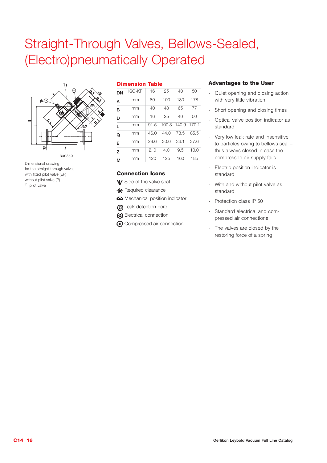### Straight-Through Valves, Bellows-Sealed, (Electro)pneumatically Operated



Dimensional drawing for the straight-through valves with fitted pilot valve (EP) without pilot valve (P) 1) pilot valve

#### **Dimension Table**

| DN | <b>ISO-KF</b> | 16   | 25   | 40                | 50   |
|----|---------------|------|------|-------------------|------|
| А  | mm            | 80   | 100  | 130               | 178  |
| в  | mm            | 40   | 48   | 65                | 77   |
| D  | mm            | 16   | 25   | 40                | 50   |
| L  | mm            | 91.5 |      | 100.3 140.9 170.1 |      |
| Q  | mm            | 46.0 | 44.0 | 73.5              | 85.5 |
| E  | mm            | 29.6 | 30.0 | 36.1              | 37.6 |
| Z  | mm            | 2.,0 | 4.0  | 9.5               | 10.0 |
| м  | mm            | 120  | 125  | 160               | 185  |

#### **Connection Icons**

- **V** Side of the valve seat
- **\*** Required clearance
- Mechanical position indicator
- **G** Leak detection bore
- **2** Electrical connection
- Compressed air connection

- Quiet opening and closing action with very little vibration
- Short opening and closing times
- Optical valve position indicator as standard
- Very low leak rate and insensitive to particles owing to bellows seal – thus always closed in case the compressed air supply fails
- Electric position indicator is standard
- With and without pilot valve as standard
- Protection class IP 50
- Standard electrical and compressed air connections
- The valves are closed by the restoring force of a spring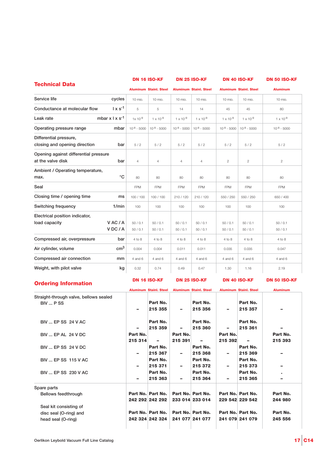|                                                                   |                     | <b>DN 16 ISO-KF</b>           |                     | <b>DN 25 ISO-KF</b>           |                     | <b>DN 40 ISO-KF</b>           | <b>DN 50 ISO-KF</b>      |
|-------------------------------------------------------------------|---------------------|-------------------------------|---------------------|-------------------------------|---------------------|-------------------------------|--------------------------|
| <b>Technical Data</b>                                             |                     | <b>Aluminum Stainl. Steel</b> |                     | <b>Aluminum Stainl. Steel</b> |                     | <b>Aluminum Stainl. Steel</b> | <b>Aluminum</b>          |
| Service life<br>cycles                                            | 10 mio.             | 10 mio.                       | 10 mio.             | 10 mio.                       | 10 mio.             | 10 mio.                       | 10 mio.                  |
| $1 \times s^{-1}$<br>Conductance at molecular flow                | 5                   | 5                             | 14                  | 14                            | 45                  | 45                            | 80                       |
| mbar $x \mid x \mid s^{-1}$<br>Leak rate                          | $1x 10^{-9}$        | $1 \times 10^{-9}$            | $1 \times 10^{-9}$  | $1 \times 10^{-9}$            | $1 \times 10^{-9}$  | $1 \times 10^{-9}$            | $1 \times 10^{-9}$       |
| Operating pressure range<br>mbar                                  | $10^{-8} - 5000$    | $10^{-8} - 5000$              | $10^{-8} - 5000$    | $10^{-8} - 5000$              | $10^{-8} - 5000$    | $10^{-8} - 5000$              | $10^{-8} - 5000$         |
| Differential pressure,<br>closing and opening direction<br>bar    | 5/2                 | 5/2                           | 5/2                 | 5/2                           | 5/2                 | 5/2                           | 5/2                      |
| Opening against differential pressure<br>at the valve disk<br>bar | $\overline{4}$      | 4                             | $\overline{4}$      | $\overline{4}$                | $\overline{c}$      | $\mathbf{2}$                  | $\overline{c}$           |
| Ambient / Operating temperature,<br>$^{\circ}C$<br>max.           | 80                  | 80                            | 80                  | 80                            | 80                  | 80                            | 80                       |
| Seal                                                              | <b>FPM</b>          | <b>FPM</b>                    | <b>FPM</b>          | <b>FPM</b>                    | <b>FPM</b>          | <b>FPM</b>                    | <b>FPM</b>               |
| Closing time / opening time<br>ms                                 | 100 / 100           | 100 / 100                     | 210 / 120           | 210 / 120                     | 550 / 250           | 550 / 250                     | 650 / 400                |
| Switching frequency<br>1/min                                      | 100                 | 100                           | 100                 | 100                           | 100                 | 100                           | 100                      |
| Electrical position indicator,<br>VAC/A<br>load capacity<br>VDC/A | 50/0.1<br>50/0.1    | 50/0.1<br>50/0.1              | 50/0.1<br>50/0.1    | 50/0.1<br>50/0.1              | 50/0.1<br>50/0.1    | 50/0.1<br>50/0.1              | 50/0.1<br>50/0.1         |
| Compressed air, overpressure<br>bar                               | 4 to 8              | 4 to 8                        | 4 to 8              | 4 to 8                        | 4 to 8              | 4 to 8                        | 4 to 8                   |
| cm <sup>3</sup><br>Air cylinder, volume                           | 0.004               | 0.004                         | 0.011               | 0.011                         | 0.035               | 0.035                         | 0.047                    |
| Compressed air connection<br>mm                                   | 4 and 6             | 4 and 6                       | 4 and 6             | 4 and 6                       | 4 and 6             | 4 and 6                       | 4 and 6                  |
| Weight, with pilot valve<br>kg                                    | 0.32                | 0.74                          | 0.49                | 0.47                          | 1.30                | 1.16                          | 2.19                     |
| <b>Ordering Information</b>                                       |                     | <b>DN 16 ISO-KF</b>           |                     | <b>DN 25 ISO-KF</b>           |                     | <b>DN 40 ISO-KF</b>           | <b>DN 50 ISO-KF</b>      |
|                                                                   |                     | <b>Aluminum Stainl. Steel</b> |                     | <b>Aluminum Stainl. Steel</b> |                     | <b>Aluminum Stainl, Steel</b> | <b>Aluminum</b>          |
| Straight-through valve, bellows sealed<br>BIV  PSS                |                     | Part No.<br>215 355           |                     | Part No.<br>215 356           |                     | Part No.<br>215 357           |                          |
| BIV  EP SS 24 V AC                                                | -                   | Part No.<br>215 359           | ۰                   | Part No.<br>215 360           | ۰                   | Part No.<br>215 361           | $\overline{\phantom{0}}$ |
| BIV  EP AL 24 V DC                                                | Part No.<br>215 314 | $\sim$ $-$                    | Part No.<br>215 391 | $\sim$ 100 $\mu$              | Part No.<br>215 392 | $-$                           | Part No.<br>215 393      |
| <b>BIV  EP SS 24 V DC</b>                                         |                     | Part No.<br>215 367           | -                   | Part No.<br>215 368           | ۰                   | Part No.<br>215 369           |                          |
| BIV  EP SS 115 V AC                                               |                     | Part No.<br>215 371           | -                   | Part No.<br>215 372           |                     | Part No.<br>215 373           |                          |
|                                                                   |                     |                               |                     |                               |                     |                               |                          |

|                        | $\overline{\phantom{a}}$ | 215 371                                 | $\overline{\phantom{a}}$ | 215 372         | $\overline{\phantom{0}}$ | 215 373           |          |
|------------------------|--------------------------|-----------------------------------------|--------------------------|-----------------|--------------------------|-------------------|----------|
| BIV  EP SS 230 V AC    |                          | Part No.                                |                          | Part No.        |                          | Part No.          | ٠        |
|                        | $\overline{\phantom{a}}$ | 215 363                                 | $\overline{\phantom{a}}$ | 215 364         | -                        | 215 365           |          |
| Spare parts            |                          |                                         |                          |                 |                          |                   |          |
| Bellows feedthrough    |                          | Part No. Part No.   Part No. Part No.   |                          |                 |                          | Part No. Part No. | Part No. |
|                        |                          | 242 292 242 292                         |                          | 233 014 233 014 |                          | 229 542 229 542   | 244 980  |
| Seal kit consisting of |                          |                                         |                          |                 |                          |                   |          |
| disc seal (O-ring) and |                          | Part No. Part No.   Part No.   Part No. |                          |                 |                          | Part No. Part No. | Part No. |
| head seal (O-ring)     |                          | 242 324 242 324                         |                          | 241 077 241 077 |                          | 241 079 241 079   | 245 556  |
|                        |                          |                                         |                          |                 |                          |                   |          |
|                        |                          |                                         |                          |                 |                          |                   |          |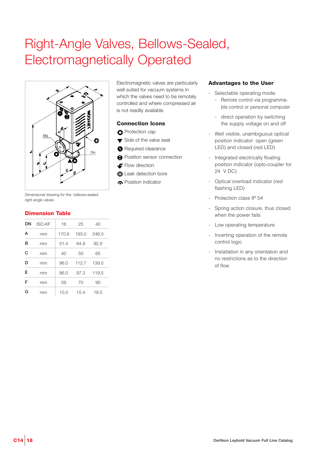# Right-Angle Valves, Bellows-Sealed, Electromagnetically Operated



Dimensional drawing for the bellows-sealed right-angle valves

#### **Dimension Table**

| DN | <b>ISO-KF</b> | 16    | 25    | 40    |
|----|---------------|-------|-------|-------|
| А  | mm            | 170.9 | 193.0 | 246.0 |
| в  | mm            | 51.4  | 64.9  | 92.9  |
| C  | mm            | 40    | 50    | 65    |
| D  | mm            | 96.0  | 112.7 | 139.0 |
| E  | mm            | 86.0  | 97.3  | 119.5 |
| F  | mm            | 59    | 70    | 90    |
| G  | mm            | 10.0  | 15.4  | 19.5  |

Electromagnetic valves are particularly well suited for vacuum systems in which the valves need to be remotely controlled and where compressed air is not readily available.

#### **Connection Icons**

- **O** Protection cap
- ▼ Side of the valve seat
- **A** Required clearance
- **A** Position sensor connection
- Flow direction
- **O** Leak detection bore
- **C** Position indicator

- Selectable operating mode:
	- Remote control via programmable control or personal computer
	- direct operation by switching the supply voltage on and off
- Well visible, unambiguous optical position indicator: open (green LED) and closed (red LED)
- Integrated electrically floating position indicator (opto-coupler for 24 V DC)
- Optical overload indicator (red flashing LED)
- Protection class IP 54
- Spring action closure, thus closed when the power fails
- Low operating temperature
- Inverting operation of the remote control logic
- Installation in any orientation and no restrictions as to the direction of flow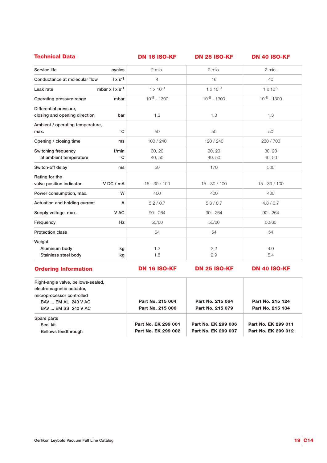| <b>Technical Data</b>                                          | DN 16 ISO-KF       | <b>DN 25 ISO-KF</b> | <b>DN 40 ISO-KF</b> |
|----------------------------------------------------------------|--------------------|---------------------|---------------------|
| Service life<br>cycles                                         | 2 mio.             | 2 mio.              | 2 mio.              |
| $1 \times s^{-1}$<br>Conductance at molecular flow             | $\overline{4}$     | 16                  | 40                  |
| mbar $x \mid x s^{-1}$<br>Leak rate                            | $1 \times 10^{-9}$ | $1 \times 10^{-9}$  | $1 \times 10^{-9}$  |
| Operating pressure range<br>mbar                               | $10^{-8} - 1300$   | $10^{-8} - 1300$    | $10^{-8} - 1300$    |
| Differential pressure,<br>closing and opening direction<br>bar | 1.3                | 1.3                 | 1.3                 |
| Ambient / operating temperature,<br>$^{\circ}C$<br>max.        | 50                 | 50                  | 50                  |
| Opening / closing time<br>ms                                   | 100 / 240          | 120 / 240           | 230 / 700           |
| Switching frequency<br>1/min<br>°C<br>at ambient temperature   | 30, 20<br>40, 50   | 30, 20<br>40, 50    | 30, 20<br>40,50     |
| Switch-off delay<br>ms                                         | 50                 | 170                 | 500                 |
| Rating for the<br>valve position indicator<br>VDC / mA         | $15 - 30 / 100$    | $15 - 30 / 100$     | $15 - 30 / 100$     |
| Power consumption, max.<br>W                                   | 400                | 400                 | 400                 |
| Actuation and holding current<br>A                             | 5.2 / 0.7          | 5.3 / 0.7           | 4.8 / 0.7           |
| V AC<br>Supply voltage, max.                                   | $90 - 264$         | $90 - 264$          | $90 - 264$          |
| Hz<br>Frequency                                                | 50/60              | 50/60               | 50/60               |
| <b>Protection class</b>                                        | 54                 | 54                  | 54                  |
| Weight<br>Aluminum body<br>kg<br>Stainless steel body<br>kg    | 1.3<br>1.5         | 2.2<br>2.9          | 4.0<br>5.4          |

#### **Ordering Information**

**DN 16 ISO-KF DN 25 ISO-KF DN 40 ISO-KF**

| Right-angle valve, bellows-sealed,<br>electromagnetic actuator,<br>microprocessor controlled |                     |                     |                     |
|----------------------------------------------------------------------------------------------|---------------------|---------------------|---------------------|
| BAV  EM AL 240 V AC                                                                          | Part No. 215 004    | Part No. 215 064    | Part No. 215 124    |
| BAV  EM SS 240 V AC                                                                          | Part No. 215 006    | Part No. 215 079    | Part No. 215 134    |
| Spare parts                                                                                  |                     |                     |                     |
| Seal kit                                                                                     | Part No. EK 299 001 | Part No. EK 299 006 | Part No. EK 299 011 |
| Bellows feedthrough                                                                          | Part No. EK 299 002 | Part No. EK 299 007 | Part No. EK 299 012 |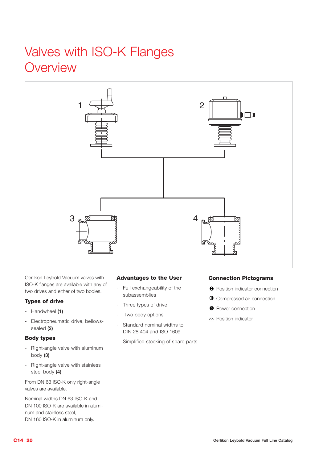### Valves with ISO-K Flanges **Overview**



Oerlikon Leybold Vacuum valves with ISO-K flanges are available with any of two drives and either of two bodies.

#### **Types of drive**

- Handwheel **(1)**
- Electropneumatic drive, bellowssealed **(2)**

#### **Body types**

- Right-angle valve with aluminum body **(3)**
- Right-angle valve with stainless steel body **(4)**

From DN 63 ISO-K only right-angle valves are available.

Nominal widths DN 63 ISO-K and DN 100 ISO-K are available in aluminum and stainless steel, DN 160 ISO-K in aluminum only.

#### **Advantages to the User**

- Full exchangeability of the subassemblies
- Three types of drive
- Two body options
- Standard nominal widths to DIN 28 404 and ISO 1609
- Simplified stocking of spare parts

#### **Connection Pictograms**

- $\Theta$  Position indicator connection
- **O** Compressed air connection
- **O** Power connection
- c. Position indicator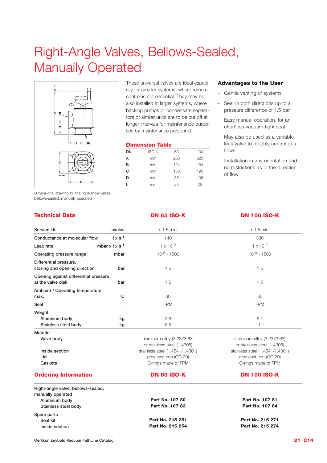# Right-Angle Valves, Bellows-Sealed, Manually Operated



Dimensional drawing for the right-angle valves, bellows-sealed, manually operated

These universal valves are ideal especially for smaller systems, where remote control is not essential. They may be also installed in larger systems, where backing pumps or condensate separators or similar units are to be cut off at longer intervals for maintenance purposes by maintenance personnel.

#### **Dimension Table**

| DN | <b>ISO-K</b> | 63  | 100 |
|----|--------------|-----|-----|
| А  | mm           | 266 | 320 |
| в  | mm           | 124 | 164 |
| C  | mm           | 150 | 190 |
| D  | mm           | 88  | 108 |
| F  | mm           | 20  | 25  |
|    |              |     |     |

#### **Advantages to the User**

- Gentle venting of systems
- Seal in both directions up to a pressure difference of 1.5 bar
- Easy manual operation, for an effortless vacuum-tight seal
- May also be used as a variable leak valve to roughly control gas flows
- Installation in any orientation and no restrictions as to the direction of flow

#### **Technical Data DN 63 ISO-K DN 100 ISO-K**

#### Service life **cycles Conductance at molecular flow l x s-1 Leak rate mbar x l x s-1 Operating pressure range mbar Differential pressure, closing and opening direction bar Opening against differential pressure at the valve disk bar Ambient / Operating temperature,**  max.  $\circ$ C **Seal Weight Aluminum body kg Stainless steel body kg Material Valve body Inside section Lid Gaskets**  $> 1.5$  mio.  $> 1.5$  mio. 140 330  $1 \times 10^{-9}$   $1 \times 10^{-9}$  $10^{-8} - 1500$  10<sup>-8</sup> - 1500 1.5 1.5 1.5 1.5 60 60 FPM FPM  $3.6$  6.1 6.5 11.1 aluminum alloy (3.2373.63) aluminum alloy (3.2373.63) or stainless steel (1.4305) or stainless steel (1.4305) stainless steel (1.4541/1.4301) stainless steel (1.4541/1.4301) grey cast iron (GG 20) grey cast iron (GG 20) O-rings made of FPM O-rings made of FPM

#### **Ordering Information**

### **DN 63 ISO-K DN 100 ISO-K**

| Right-angle valve, bellows-sealed, |                  |                        |
|------------------------------------|------------------|------------------------|
| manually operated                  |                  |                        |
| Aluminum body                      | Part No. 107 80  | <b>Part No. 107 81</b> |
| Stainless steel body               | Part No. 107 83  | Part No. 107 84        |
| Spare parts                        |                  |                        |
| Seal kit                           | Part No. 215 251 | Part No. 215 271       |
| Inside section                     | Part No. 215 254 | Part No. 215 274       |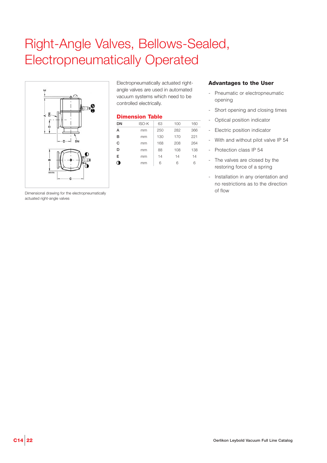## Right-Angle Valves, Bellows-Sealed, Electropneumatically Operated



Electropneumatically actuated rightangle valves are used in automated vacuum systems which need to be controlled electrically.

#### **Dimension Table**

| DN | <b>ISO-K</b> | 63  | 100 | 160 |
|----|--------------|-----|-----|-----|
| A  | mm           | 250 | 282 | 366 |
| в  | mm           | 130 | 170 | 221 |
| C  | mm           | 168 | 208 | 264 |
| D  | mm           | 88  | 108 | 138 |
| E  | mm           | 14  | 14  | 14  |
|    | mm           | 6   | 6   | հ   |

#### **Advantages to the User**

- Pneumatic or electropneumatic opening
- Short opening and closing times
- Optical position indicator
- Electric position indicator
- With and without pilot valve IP 54
- Protection class IP 54
- The valves are closed by the restoring force of a spring
- Installation in any orientation and no restrictions as to the direction of flow

Dimensional drawing for the electropneumatically actuated right-angle valves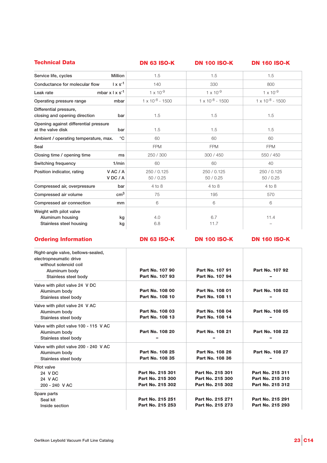| <b>DN 63 ISO-K</b>        | <b>DN 100 ISO-K</b>       | <b>DN 160 ISO-K</b>       |
|---------------------------|---------------------------|---------------------------|
| 1.5                       | 1.5                       | 1.5                       |
| 140                       | 330                       | 800                       |
| $1 \times 10^{-9}$        | $1 \times 10^{-9}$        | $1 \times 10^{-9}$        |
| $1 \times 10^{-8} - 1500$ | $1 \times 10^{-8} - 1500$ | $1 \times 10^{-8} - 1500$ |
| 1.5                       | 1.5                       | 1.5                       |
| 1.5                       | 1.5                       | 1.5                       |
| 60                        | 60                        | 60                        |
| <b>FPM</b>                | <b>FPM</b>                | <b>FPM</b>                |
| 250 / 300                 | 300 / 450                 | 550 / 450                 |
| 60                        | 60                        | 40                        |
| 250 / 0.125<br>50/0.25    | 250 / 0.125<br>50/0.25    | 250 / 0.125<br>50/0.25    |
| $4$ to $8$                | $4$ to $8$                | $4$ to $8$                |
| 75                        | 195                       | 570                       |
| 6                         | 6                         | 6                         |
| 4.0<br>6.8                | 6.7<br>11.7               | 11.4                      |
|                           |                           |                           |

#### **Ordering Information**

**DN 63 ISO-K DN 100 ISO-K DN 160 ISO-K**

| Right-angle valve, bellows-sealed,    |                  |                  |                  |
|---------------------------------------|------------------|------------------|------------------|
| electropneumatic drive                |                  |                  |                  |
| without solenoid coil                 |                  |                  |                  |
| Aluminum body                         | Part No. 107 90  | Part No. 107 91  | Part No. 107 92  |
| Stainless steel body                  | Part No. 107 93  | Part No. 107 94  |                  |
| Valve with pilot valve 24 V DC        |                  |                  |                  |
| Aluminum body                         | Part No. 108 00  | Part No. 108 01  | Part No. 108 02  |
| Stainless steel body                  | Part No. 108 10  | Part No. 108 11  |                  |
| Valve with pilot valve 24 V AC        |                  |                  |                  |
| Aluminum body                         | Part No. 108 03  | Part No. 108 04  | Part No. 108 05  |
| Stainless steel body                  | Part No. 108 13  | Part No. 108 14  |                  |
| Valve with pilot valve 100 - 115 V AC |                  |                  |                  |
| Aluminum body                         | Part No. 108 20  | Part No. 108 21  | Part No. 108 22  |
| Stainless steel body                  |                  |                  |                  |
| Valve with pilot valve 200 - 240 V AC |                  |                  |                  |
| Aluminum body                         | Part No. 108 25  | Part No. 108 26  | Part No. 108 27  |
| Stainless steel body                  | Part No. 108 35  | Part No. 108 36  |                  |
| Pilot valve                           |                  |                  |                  |
| 24 V DC                               | Part No. 215 301 | Part No. 215 301 | Part No. 215 311 |
| 24 V AC                               | Part No. 215 300 | Part No. 215 300 | Part No. 215 310 |
| 200 - 240 V AC                        | Part No. 215 302 | Part No. 215 302 | Part No. 215 312 |
| Spare parts                           |                  |                  |                  |
| Seal kit                              | Part No. 215 251 | Part No. 215 271 | Part No. 215 291 |
| Inside section                        | Part No. 215 253 | Part No. 215 273 | Part No. 215 293 |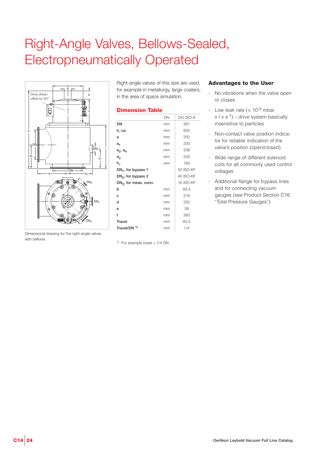### Right-Angle Valves, Bellows-Sealed, Electropneumatically Operated



Right-angle valves of this size are used, for example in metallurgy, large coaters, in the area of space simulation.

#### **Dimension Table**

|                          | DN | 250 ISO-K        |
|--------------------------|----|------------------|
| DN                       | mm | 261              |
| h, ca.                   | mm | 650              |
| a                        | mm | 250              |
| a <sub>1</sub>           | mm | 200              |
| $a_2$ , $a_4$            | mm | 208              |
| $a_3$                    | mm | 205              |
| h <sub>1</sub>           | mm | 163              |
| $DN_1$ , for bypass 1    |    | 50 ISO-KF        |
| $DN_2$ , for bypass 2    |    | 40 ISO-KF        |
| $DN_3$ , for meas. conn. |    | <b>16 ISO-KF</b> |
| h                        | mm | 69.5             |
| c                        | mm | 218              |
| d                        | mm | 250              |
| e                        | mm | 58               |
| f                        | mm | 363              |
| <b>Travel</b>            | mm | 62.5             |
| Travel/DN 1)             | mm | 1/4              |
|                          |    |                  |

<sup>1)</sup> For example travel =  $1/4$  DN

#### **Advantages to the User**

- No vibrations when the valve open or closes
- Low leak rate  $(< 10^{-9}$  mbar  $x | x s^{-1}$ ) – drive system basically insensitive to particles
- Non-contact valve position indicator for reliable indication of the valve's position (open/closed)
- Wide range of different solenoid coils for all commonly used control voltages
- Additional flange for bypass lines and for connecting vacuum gauges (see Product Section C16 "Total Pressure Gauges")

Dimensional drawing for the right-angle valves with bellows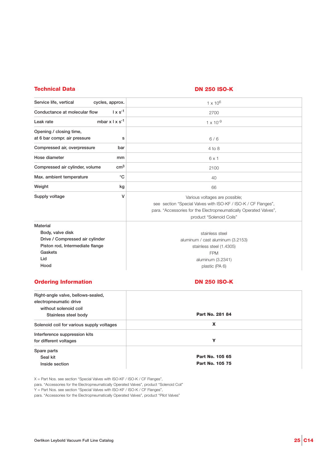#### **Technical Data DN 250 ISO-K**

| Service life, vertical<br>cycles, approx.          | $1 \times 10^{6}$                                                 |  |  |
|----------------------------------------------------|-------------------------------------------------------------------|--|--|
| $1 \times s^{-1}$<br>Conductance at molecular flow | 2700                                                              |  |  |
| mbar $x \perp x$ s <sup>-1</sup><br>Leak rate      | $1 \times 10^{-9}$                                                |  |  |
| Opening / closing time,                            |                                                                   |  |  |
| at 6 bar compr. air pressure                       | s<br>6/6                                                          |  |  |
| Compressed air, overpressure                       | bar<br>$4$ to $8$                                                 |  |  |
| Hose diameter                                      | mm<br>$6 \times 1$                                                |  |  |
| Compressed air cylinder, volume                    | cm <sup>3</sup><br>2100                                           |  |  |
| Max. ambient temperature                           | $^{\circ}C$<br>40                                                 |  |  |
| Weight                                             | kg<br>66                                                          |  |  |
| Supply voltage                                     | ۷<br>Various voltages are possible;                               |  |  |
|                                                    | see section "Special Valves with ISO-KF / ISO-K / CF Flanges",    |  |  |
|                                                    | para. "Accessories for the Electropneumatically Operated Valves", |  |  |
|                                                    | product "Solenoid Coils"                                          |  |  |
| Material                                           |                                                                   |  |  |
| Body, valve disk                                   | stainless steel                                                   |  |  |
| Drive / Compressed air cylinder                    | aluminum / cast aluminum (3.2153)                                 |  |  |
| Piston rod, Intermediate flange                    | stainless steel (1.4305)                                          |  |  |
| Gaskets                                            | <b>FPM</b>                                                        |  |  |
| Lid                                                | aluminum (3.2341)                                                 |  |  |
| Hood                                               | plastic (PA 6)                                                    |  |  |
|                                                    |                                                                   |  |  |

#### **Ordering Information**

### **DN 250 ISO-K**

| Right-angle valve, bellows-sealed,<br>electropneumatic drive<br>without solenoid coil |                 |
|---------------------------------------------------------------------------------------|-----------------|
|                                                                                       | Part No. 281 84 |
| Stainless steel body                                                                  |                 |
| Solenoid coil for various supply voltages                                             | X               |
| Interference suppression kits                                                         |                 |
| for different voltages                                                                | Y               |
| Spare parts                                                                           |                 |
| Seal kit                                                                              | Part No. 105 65 |
| Inside section                                                                        | Part No. 105 75 |

X = Part Nos. see section "Special Valves with ISO-KF / ISO-K / CF Flanges",

para. "Accessories for the Electropneumatically Operated Valves", product "Solenoid Coil"

Y = Part Nos. see section "Special Valves with ISO-KF / ISO-K / CF Flanges",

para. "Accessories for the Electropneumatically Operated Valves", product "Pilot Valves"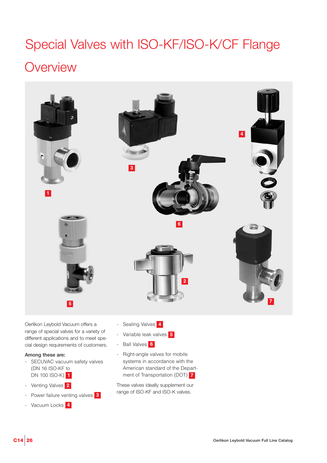# Special Valves with ISO-KF/ISO-K/CF Flange **Overview**



Oerlikon Leybold Vacuum offers a range of special valves for a variety of different applications and to meet special design requirements of customers.

#### **Among these are:**

- SECUVAC vacuum safety valves (DN 16 ISO-KF to DN 100 ISO-K) 1
- Venting Valves **2**
- Power failure venting valves **3**
- Vacuum Locks **4**
- **4** Sealing Valves
- **5** Variable leak valves
- **6** Ball Valves
- **1 7** ment of Transportation (DOT) - Right-angle valves for mobile systems in accordance with the American standard of the Depart-

These valves ideally supplement our range of ISO-KF and ISO-K valves.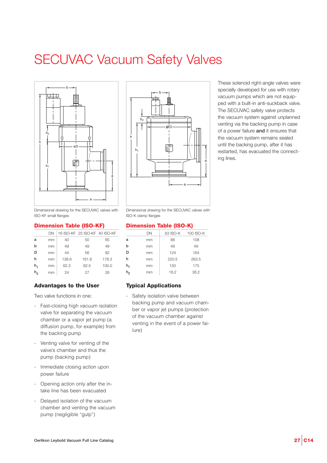### SECUVAC Vacuum Safety Valves





These solenoid right-angle valves were specially developed for use with rotary vacuum pumps which are not equipped with a built-in anti-suckback valve. The SECUVAC safety valve protects the vacuum system against unplanned venting via the backing pump in case of a power failure **and** it ensures that the vacuum system remains sealed until the backing pump, after it has restarted, has evacuated the connecting lines.

Dimensional drawing for the SECUVAC valves with ISO-KF small flanges

#### **Dimension Table (ISO-KF)**

|    | DΝ |       | 16 ISO-KF 25 ISO-KF 40 ISO-KF |       |
|----|----|-------|-------------------------------|-------|
| a  | mm | 40    | 50                            | 65    |
| b  | mm | 49    | 49                            | 49    |
| D  | mm | 44    | 56                            | 82    |
| h  | mm | 138.6 | 161.8                         | 178.3 |
| h, | mm | 62.3  | 82.5                          | 100.0 |
| h, | mm | 24    | 27                            | 26    |

#### **Advantages to the User**

Two valve functions in one:

- Fast-closing high vacuum isolation valve for separating the vacuum chamber or a vapor jet pump (a diffusion pump, for example) from the backing pump
- Venting valve for venting of the valve's chamber and thus the pump (backing pump)
- Immediate closing action upon power failure
- Opening action only after the intake line has been evacuated
- Delayed isolation of the vacuum chamber and venting the vacuum pump (negligible "gulp")

Dimensional drawing for the SECUVAC valves with ISO-K clamp flanges

#### **Dimension Table (ISO-K)**

|                | DN | 63 ISO-K | 100 ISO-K |
|----------------|----|----------|-----------|
| a              | mm | 88       | 108       |
| h              | mm | 49       | 49        |
| D              | mm | 124      | 164       |
| h              | mm | 220.5    | 263.5     |
| $h_1$          | mm | 150      | 175       |
| h <sub>2</sub> | mm | 18.2     | 36.2      |
|                |    |          |           |

#### **Typical Applications**

Safety isolation valve between backing pump and vacuum chamber or vapor jet pumps (protection of the vacuum chamber against venting in the event of a power failure)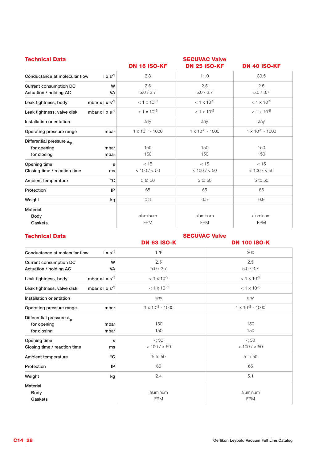| <b>Technical Data</b>                                                     |                        | <b>DN 16 ISO-KF</b>       | <b>SECUVAC Valve</b><br><b>DN 25 ISO-KF</b> | <b>DN 40 ISO-KF</b>       |
|---------------------------------------------------------------------------|------------------------|---------------------------|---------------------------------------------|---------------------------|
| Conductance at molecular flow                                             | $1 \times s^{-1}$      | 3.8                       | 11.0                                        | 30.5                      |
| Current consumption DC<br>Actuation / holding AC                          | W<br><b>VA</b>         | 2.5<br>5.0 / 3.7          | 2.5<br>5.0 / 3.7                            | 2.5<br>5.0 / 3.7          |
| Leak tightness, body                                                      | mbar $x \mid x s^{-1}$ | $< 1 \times 10^{-9}$      | $< 1 \times 10^{-9}$                        | $< 1 \times 10^{-9}$      |
| Leak tightness, valve disk                                                | mbar $x \mid x s^{-1}$ | $< 1 \times 10^{-5}$      | $< 1 \times 10^{-5}$                        | $< 1 \times 10^{-5}$      |
| Installation orientation                                                  |                        | any                       | any                                         | any                       |
| Operating pressure range                                                  | mbar                   | $1 \times 10^{-8} - 1000$ | $1 \times 10^{-8}$ - 1000                   | $1 \times 10^{-8} - 1000$ |
| Differential pressure $\Delta_{\mathbf{p}}$<br>for opening<br>for closing | mbar<br>mbar           | 150<br>150                | 150<br>150                                  | 150<br>150                |
| Opening time<br>Closing time / reaction time                              | s<br>ms                | < 15<br>< 100 / < 50      | < 15<br>< 100 / < 50                        | < 15<br>< 100 / < 50      |
| Ambient temperature                                                       | $^{\circ}C$            | 5 to 50                   | 5 to 50                                     | 5 to 50                   |
| Protection                                                                | IP                     | 65                        | 65                                          | 65                        |
| Weight                                                                    | kg                     | 0.3                       | 0.5                                         | 0.9                       |
| <b>Material</b><br>Body<br>Gaskets                                        |                        | aluminum<br><b>FPM</b>    | aluminum<br><b>FPM</b>                      | aluminum<br><b>FPM</b>    |

### **Technical Data SECUVAC Valve**<br>**DN 63 ISO-K**

**DN 100 ISO-K** 

| Conductance at molecular flow               | $1 \times s^{-1}$           | 126                       | 300                       |
|---------------------------------------------|-----------------------------|---------------------------|---------------------------|
| Current consumption DC                      | W                           | 2.5                       | 2.5                       |
| Actuation / holding AC                      | <b>VA</b>                   | 5.0 / 3.7                 | 5.0 / 3.7                 |
| Leak tightness, body                        | mbar $x \mid x \mid s^{-1}$ | $< 1 \times 10^{-9}$      | $< 1 \times 10^{-9}$      |
| Leak tightness, valve disk                  | mbar $x \mid x \mid s^{-1}$ | $< 1 \times 10^{-5}$      | $< 1 \times 10^{-5}$      |
| Installation orientation                    |                             | any                       | any                       |
| Operating pressure range                    | mbar                        | $1 \times 10^{-8}$ - 1000 | $1 \times 10^{-8} - 1000$ |
| Differential pressure $\Delta_{\mathsf{p}}$ |                             |                           |                           |
| for opening                                 | mbar                        | 150                       | 150                       |
| for closing                                 | mbar                        | 150                       | 150                       |
| Opening time                                | s                           | $<$ 30                    | $<$ 30                    |
| Closing time / reaction time                | ms                          | < 100 / < 50              | < 100 / < 50              |
| Ambient temperature                         | $^{\circ}C$                 | 5 to 50                   | 5 to 50                   |
| Protection                                  | IP                          | 65                        | 65                        |
| Weight                                      | kg                          | 2.4                       | 5.1                       |
| <b>Material</b>                             |                             |                           |                           |
| Body                                        |                             | aluminum                  | aluminum                  |
| Gaskets                                     |                             | <b>FPM</b>                | <b>FPM</b>                |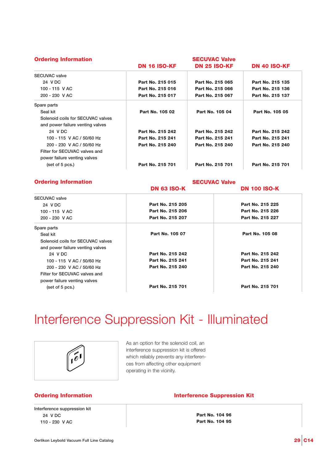| <b>Ordering Information</b>       | <b>SECUVAC Valve</b> |                     |                     |  |
|-----------------------------------|----------------------|---------------------|---------------------|--|
|                                   | <b>DN 16 ISO-KF</b>  | <b>DN 25 ISO-KF</b> | <b>DN 40 ISO-KF</b> |  |
| <b>SECUVAC</b> valve              |                      |                     |                     |  |
| 24 V DC                           | Part No. 215 015     | Part No. 215 065    | Part No. 215 135    |  |
| 100 - 115 V AC                    | Part No. 215 016     | Part No. 215 066    | Part No. 215 136    |  |
| 200 - 230 V AC                    | Part No. 215 017     | Part No. 215 067    | Part No. 215 137    |  |
| Spare parts                       |                      |                     |                     |  |
| Seal kit                          | Part No. 105 02      | Part No. 105 04     | Part No. 105 05     |  |
| Solenoid coils for SECUVAC valves |                      |                     |                     |  |
| and power failure venting valves  |                      |                     |                     |  |
| 24 V DC                           | Part No. 215 242     | Part No. 215 242    | Part No. 215 242    |  |
| 100 - 115 V AC / 50/60 Hz         | Part No. 215 241     | Part No. 215 241    | Part No. 215 241    |  |
| 200 - 230 V AC / 50/60 Hz         | Part No. 215 240     | Part No. 215 240    | Part No. 215 240    |  |
| Filter for SECUVAC valves and     |                      |                     |                     |  |
| power failure venting valves      |                      |                     |                     |  |
| (set of 5 pcs.)                   | Part No. 215 701     | Part No. 215 701    | Part No. 215 701    |  |

#### **Ordering Information**

**SECUVAC Valve**

|                                   | <b>DN 63 ISO-K</b> | <b>DN 100 ISO-K</b> |
|-----------------------------------|--------------------|---------------------|
| <b>SECUVAC</b> valve              |                    |                     |
| 24 V DC                           | Part No. 215 205   | Part No. 215 225    |
| 100 - 115 V AC                    | Part No. 215 206   | Part No. 215 226    |
| 200 - 230 V AC                    | Part No. 215 207   | Part No. 215 227    |
| Spare parts                       |                    |                     |
| Seal kit                          | Part No. 105 07    | Part No. 105 08     |
| Solenoid coils for SECUVAC valves |                    |                     |
| and power failure venting valves  |                    |                     |
| 24 V DC                           | Part No. 215 242   | Part No. 215 242    |
| 100 - 115 V AC / 50/60 Hz         | Part No. 215 241   | Part No. 215 241    |
| 200 - 230 V AC / 50/60 Hz         | Part No. 215 240   | Part No. 215 240    |
| Filter for SECUVAC valves and     |                    |                     |
| power failure venting valves      |                    |                     |
| (set of 5 pcs.)                   | Part No. 215 701   | Part No. 215 701    |
|                                   |                    |                     |

### Interference Suppression Kit - Illuminated



As an option for the solenoid coil, an interference suppression kit is offered which reliably prevents any interferences from affecting other equipment operating in the vicinity.

#### **Ordering Information**

**Interference suppression kit 024 V DC 110 - 230 V AC** 

#### **Interference Suppression Kit**

**Part No. 104 96 Part No. 104 95**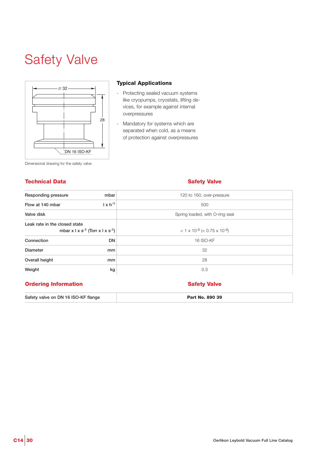# Safety Valve



#### **Typical Applications**

- Protecting sealed vacuum systems like cryopumps, cryostats, lifting devices, for example against internal overpressures
- Mandatory for systems which are separated when cold, as a means of protection against overpressures

|  | Dimensional drawing for the safety valve |  |  |  |  |  |
|--|------------------------------------------|--|--|--|--|--|
|--|------------------------------------------|--|--|--|--|--|

#### **Technical Data**

#### **Safety Valve**

| Responding pressure<br>mbar                                                                     | 120 to 160, over-pressure                                |  |  |
|-------------------------------------------------------------------------------------------------|----------------------------------------------------------|--|--|
| $1 \times h^{-1}$<br>Flow at 140 mbar                                                           | 500                                                      |  |  |
| Valve disk                                                                                      | Spring loaded, with O-ring seal                          |  |  |
| Leak rate in the closed state<br>mbar x $\vert x \vert s^{-1}$ (Torr x $\vert x \vert s^{-1}$ ) | $<$ 1 x 10 <sup>-8</sup> ( $<$ 0.75 x 10 <sup>-8</sup> ) |  |  |
| Connection<br><b>DN</b>                                                                         | <b>16 ISO-KF</b>                                         |  |  |
| Diameter<br>mm                                                                                  | 32                                                       |  |  |
| Overall height<br>mm                                                                            | 28                                                       |  |  |
| Weight<br>kg                                                                                    | 0.3                                                      |  |  |

#### **Ordering Information**

**Safety valve on DN 16 ISO-KF flange**

#### **Safety Valve**

**Part No. 890 39**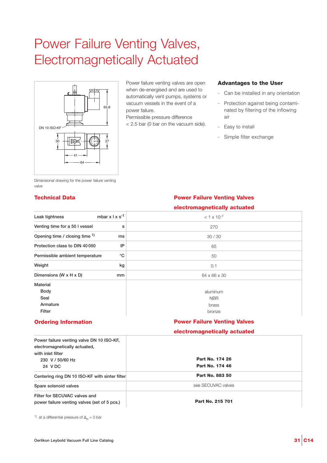### Power Failure Venting Valves, Electromagnetically Actuated



Power failure venting valves are open when de-energised and are used to automatically vent pumps, systems or vacuum vessels in the event of a power failure.

Permissible pressure difference < 2.5 bar (0 bar on the vacuum side).

#### **Advantages to the User**

- Can be installed in any orientation
- Protection against being contaminated by filtering of the inflowing air
- Easy to install
- Simple filter exchange

Dimensional drawing for the power failure venting valve

#### **Technical Data Power Failure Venting Valves**

#### **electromagnetically actuated**

| mbar $x \mid x \mid s^{-1}$<br>Leak tightness                                                   | $< 1 \times 10^{-7}$                |
|-------------------------------------------------------------------------------------------------|-------------------------------------|
| Venting time for a 50 I vessel                                                                  | 270<br>s                            |
| Opening time / closing time 1)<br>ms                                                            | 30/30                               |
| Protection class to DIN 40050<br>IP                                                             | 65                                  |
| °C<br>Permissible ambient temperature                                                           | 50                                  |
| Weight<br>kg                                                                                    | 0.1                                 |
| Dimensions (W x H x D)<br>mm                                                                    | 64 x 66 x 30                        |
| <b>Material</b>                                                                                 |                                     |
| <b>Body</b>                                                                                     | aluminum                            |
| Seal                                                                                            | <b>NBR</b>                          |
| Armature                                                                                        | brass                               |
| Filter                                                                                          | bronze                              |
| <b>Ordering Information</b>                                                                     | <b>Power Failure Venting Valves</b> |
|                                                                                                 | electromagnetically actuated        |
| Power failure venting valve DN 10 ISO-KF,<br>electromagnetically actuated,<br>with inlet filter |                                     |
| 230 V / 50/60 Hz                                                                                | Part No. 174 26                     |
| 24 V DC                                                                                         | Part No. 174 46                     |
| Centering ring DN 10 ISO-KF with sinter filter                                                  | Part No. 883 50                     |
| Spare solenoid valves                                                                           | see SECUVAC valves                  |
|                                                                                                 |                                     |

**Filter for SECUVAC valves and power failure venting valves (set of 5 pcs.)**

**Part No. 215 701**

<sup>1)</sup> at a differential pressure of  $\Delta_{\text{p}} = 0$  bar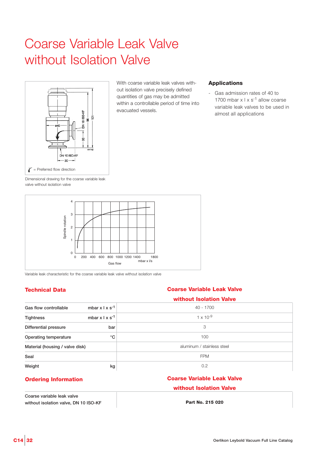### Coarse Variable Leak Valve without Isolation Valve



With coarse variable leak valves without isolation valve precisely defined quantities of gas may be admitted within a controllable period of time into evacuated vessels.

#### **Applications**

Gas admission rates of 40 to 1700 mbar  $x \mid x \mid s^{-1}$  allow coarse variable leak valves to be used in almost all applications

Dimensional drawing for the coarse variable leak valve without isolation valve



Variable leak characteristic for the coarse variable leak valve without isolation valve

#### **Technical Data Coarse Variable Leak Valve**

|                                 |                             | without Isolation Valve    |  |
|---------------------------------|-----------------------------|----------------------------|--|
| Gas flow controllable           | mbar $x \mid x \mid s^{-1}$ | 40 - 1700                  |  |
| <b>Tightness</b>                | mbar $x \mid x \mid s^{-1}$ | $1 \times 10^{-9}$         |  |
| Differential pressure           | bar                         | 3                          |  |
| Operating temperature           | $^{\circ}C$                 | 100                        |  |
| Material (housing / valve disk) |                             | aluminum / stainless steel |  |
| Seal                            |                             | <b>FPM</b>                 |  |
| Weight                          | kg                          | 0.2                        |  |

#### **Ordering Information**

**Coarse variable leak valve without isolation valve, DN 10 ISO-KF**

#### **Coarse Variable Leak Valve**

#### **without Isolation Valve**

**Part No. 215 020**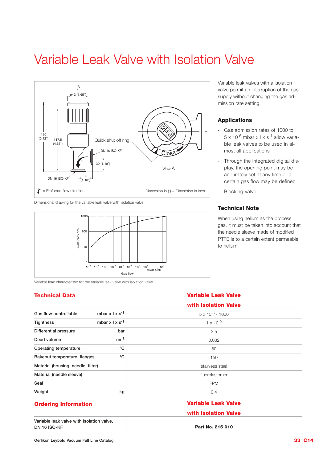### Variable Leak Valve with Isolation Valve



Dimensional drawing for the variable leak valve with isolation valve



Variable leak characteristic for the variable leak valve with isolation valve

#### **Technical Data Variable Leak Valve**

Variable leak valves with a isolation valve permit an interruption of the gas supply without changing the gas admission rate setting.

#### **Applications**

- Gas admission rates of 1000 to  $5 \times 10^{-6}$  mbar  $\times$  l  $\times$  s<sup>-1</sup> allow variable leak valves to be used in almost all applications
- Through the integrated digital display, the opening point may be accurately set at any time or a certain gas flow may be defined
- Blocking valve

#### **Technical Note**

When using helium as the process gas, it must be taken into account that the needle sleeve made of modified PTFE is to a certain extent permeable to helium.

| with Isolation Valve      |
|---------------------------|
| $5 \times 10^{-6}$ - 1000 |
| $1 \times 10^{-9}$        |
| 2.5                       |
| 0.032                     |
| 80                        |
| 150                       |
| stainless steel           |
| fluorplastomer            |
| <b>FPM</b>                |
| 0.4                       |
|                           |

#### **Ordering Information**

**Variable leak valve with isolation valve, DN 16 ISO-KF**

### **Variable Leak Valve**

**with Isolation Valve**

**Part No. 215 010**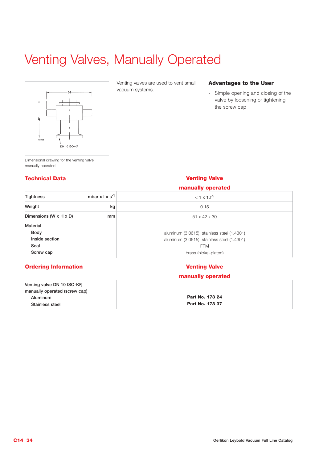# Venting Valves, Manually Operated



Venting valves are used to vent small vacuum systems.

#### **Advantages to the User**

- Simple opening and closing of the valve by loosening or tightening the screw cap

Dimensional drawing for the venting valve, manually operated

#### **manually operated Tightness mbar x l x s-1 Weight** kg **Dimensions (W x H x D) mm Material Body Inside section Seal Screw cap**  $< 1 \times 10^{-9}$ 0.15 51 x 42 x 30 aluminum (3.0615), stainless steel (1.4301) aluminum (3.0615), stainless steel (1.4301) FPM brass (nickel-plated)

#### **Ordering Information**

**Venting valve DN 10 ISO-KF, manually operated (screw cap) Aluminum Stainless steel**

### **Technical Data Venting Valve**

### **Venting Valve**

#### **manually operated**

**Part No. 173 24 Part No. 173 37**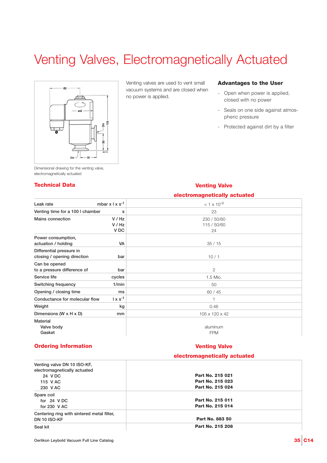# Venting Valves, Electromagnetically Actuated



Venting valves are used to vent small vacuum systems and are closed when no power is applied.

#### **Advantages to the User**

- Open when power is applied, closed with no power
- Seals on one side against atmospheric pressure
- Protected against dirt by a filter

Dimensional drawing for the venting valve, electromagnetically actuated

#### **Technical Data Venting Valve**

|                                  |                             | electromagnetically actuated |
|----------------------------------|-----------------------------|------------------------------|
| Leak rate                        | mbar $x \mid x \mid s^{-1}$ | $< 1 \times 10^{-9}$         |
| Venting time for a 100 I chamber | s                           | 23                           |
| Mains connection                 | V / Hz                      | 230 / 50/60                  |
|                                  | V / Hz                      | 115 / 50/60                  |
|                                  | V DC                        | 24                           |
| Power consumption,               |                             |                              |
| actuation / holding              | VA                          | 35/15                        |
| Differential pressure in         |                             |                              |
| closing / opening direction      | bar                         | 10/1                         |
| Can be opened                    |                             |                              |
| to a pressure difference of      | bar                         | 2                            |
| Service life                     | cycles                      | 1.5 Mio.                     |
| Switching frequency              | 1/min                       | 50                           |
| Opening / closing time           | ms                          | 60/45                        |
| Conductance for molecular flow   | $1 \times s^{-1}$           | н                            |
| Weight                           | kg                          | 0.46                         |
| Dimensions (W x H x D)           | mm                          | 105 x 120 x 42               |
| Material                         |                             |                              |
| Valve body                       |                             | aluminum                     |
| Gasket                           |                             | <b>FPM</b>                   |

#### **Ordering Information**

#### **Venting Valve**

#### **electromagnetically actuated**

| Venting valve DN 10 ISO-KF.<br>electromagnetically actuated<br>24 V DC | Part No. 215 021 |
|------------------------------------------------------------------------|------------------|
| 115 V AC                                                               | Part No. 215 023 |
| 230 V AC                                                               | Part No. 215 024 |
| Spare coil                                                             |                  |
| for 24 VDC                                                             | Part No. 215 011 |
| for $230$ V AC                                                         | Part No. 215 014 |
| Centering ring with sintered metal filter,                             |                  |
| <b>DN 10 ISO-KF</b>                                                    | Part No. 883 50  |
| Seal kit                                                               | Part No. 215 208 |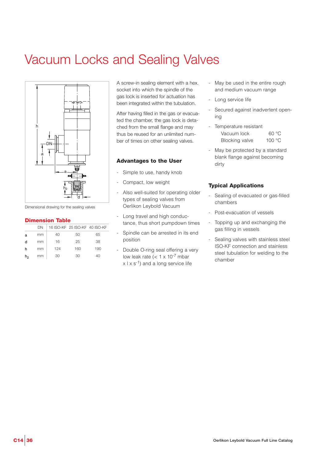# Vacuum Locks and Sealing Valves



Dimensional drawing for the sealing valves

#### **Dimension Table**

|                | DΝ |     | 16 ISO-KF 25 ISO-KF 40 ISO-KF |     |
|----------------|----|-----|-------------------------------|-----|
| a              | mm | 40  | 50                            | 65  |
| d              | mm | 16  | 25                            | 38  |
| h              | mm | 124 | 160                           | 190 |
| h <sub>2</sub> | mm | 30  | 30                            | 40  |

A screw-in sealing element with a hex. socket into which the spindle of the gas lock is inserted for actuation has been integrated within the tubulation.

After having filled in the gas or evacuated the chamber, the gas lock is detached from the small flange and may thus be reused for an unlimited number of times on other sealing valves.

#### **Advantages to the User**

- Simple to use, handy knob
- Compact, low weight
- Also well-suited for operating older types of sealing valves from Oerlikon Leybold Vacuum
- Long travel and high conductance, thus short pumpdown times
- Spindle can be arrested in its end position
- Double O-ring seal offering a very low leak rate  $(< 1 \times 10^{-7}$  mbar  $x | x s^{-1}$ ) and a long service life
- May be used in the entire rough and medium vacuum range
- Long service life
- Secured against inadvertent opening
- Temperature resistant Vacuum lock 60 °C Blocking valve 100 °C
- May be protected by a standard blank flange against becoming dirty

#### **Typical Applications**

- Sealing of evacuated or gas-filled chambers
- Post-evacuation of vessels
- Topping up and exchanging the gas filling in vessels
- Sealing valves with stainless steel ISO-KF connection and stainless steel tubulation for welding to the chamber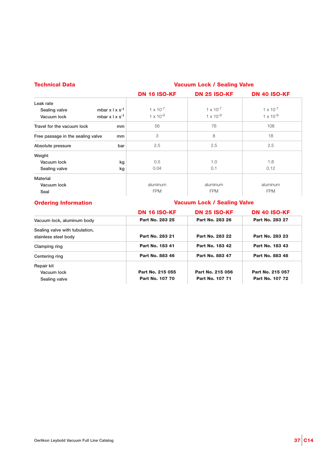| <b>Technical Data</b>                             |                     | <b>Vacuum Lock / Sealing Valve</b> |                     |  |  |
|---------------------------------------------------|---------------------|------------------------------------|---------------------|--|--|
|                                                   | <b>DN 16 ISO-KF</b> | <b>DN 25 ISO-KF</b>                | <b>DN 40 ISO-KF</b> |  |  |
| Leak rate                                         |                     |                                    |                     |  |  |
| mbar $x \perp x$ s <sup>-1</sup><br>Sealing valve | $1 \times 10^{-7}$  | $1 \times 10^{-7}$                 | $1 \times 10^{-7}$  |  |  |
| mbar $x \mid x \mid s^{-1}$<br>Vacuum lock        | $1 \times 10^{-9}$  | $1 \times 10^{-9}$                 | $1 \times 10^{-9}$  |  |  |
| Travel for the vacuum lock                        | 56<br>mm            | 76                                 | 108                 |  |  |
| Free passage in the sealing valve                 | 3<br>mm             | 8                                  | 18                  |  |  |
| Absolute pressure                                 | 2.5<br>bar          | 2.5                                | 2.5                 |  |  |
| Weight                                            |                     |                                    |                     |  |  |
| Vacuum lock                                       | 0.5<br>kg           | 1.0                                | 1.8                 |  |  |
| Sealing valve                                     | 0.04<br>kg          | 0.1                                | 0.12                |  |  |
| <b>Material</b>                                   |                     |                                    |                     |  |  |
| Vacuum lock                                       | aluminum            | aluminum                           | aluminum            |  |  |
| Seal                                              | <b>FPM</b>          | <b>FPM</b>                         | <b>FPM</b>          |  |  |

#### **Ordering Information**

#### **Vacuum Lock / Sealing Valve**

|                                                        | <b>DN 16 ISO-KF</b> | <b>DN 25 ISO-KF</b> | <b>DN 40 ISO-KF</b> |
|--------------------------------------------------------|---------------------|---------------------|---------------------|
| Vacuum lock, aluminum body                             | Part No. 283 25     | Part No. 283 26     | Part No. 283 27     |
| Sealing valve with tubulation,<br>stainless steel body | Part No. 283 21     | Part No. 283 22     | Part No. 283 23     |
| Clamping ring                                          | Part No. 183 41     | Part No. 183 42     | Part No. 183 43     |
| Centering ring                                         | Part No. 883 46     | Part No. 883 47     | Part No. 883 48     |
| Repair kit                                             |                     |                     |                     |
| Vacuum lock                                            | Part No. 215 055    | Part No. 215 056    | Part No. 215 057    |
| Sealing valve                                          | Part No. 107 70     | Part No. 107 71     | Part No. 107 72     |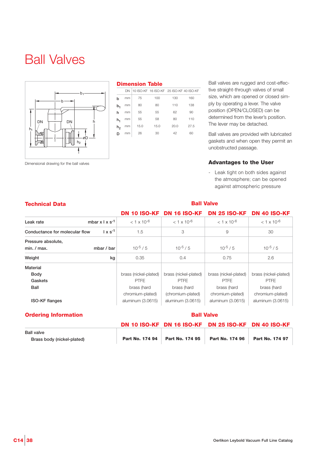### Ball Valves



Dimensional drawing for the ball valves

#### **Dimension Table**

**Technical Data Ball Valve** 

|                | DN |      | 10 ISO-KF 16 ISO-KF 25 ISO-KF 40 ISO-KF |      |      |
|----------------|----|------|-----------------------------------------|------|------|
| h              | mm | 75   | 100                                     | 130  | 160  |
| $b_1$          | mm | 80   | 80                                      | 110  | 138  |
| h              | mm | 55   | 55                                      | 62   | 90   |
| h,             | mm | 55   | 58                                      | 80   | 110  |
| h <sub>2</sub> | mm | 15.0 | 15.0                                    | 20.0 | 27.5 |
| D              | mm | 26   | 30                                      | 42   | 60   |
|                |    |      |                                         |      |      |

Ball valves are rugged and cost-effective straight-through valves of small size, which are opened or closed simply by operating a lever. The valve position (OPEN/CLOSED) can be determined from the lever's position. The lever may be detached.

Ball valves are provided with lubricated gaskets and when open they permit an unobstructed passage.

#### **Advantages to the User**

- Leak tight on both sides against the atmosphere; can be opened against atmospheric pressure

|                                          |                   | <b>DN 10 ISO-KF</b>   | <b>DN 16 ISO-KF</b>   | <b>DN 25 ISO-KF</b>   | <b>DN 40 ISO-KF</b>   |
|------------------------------------------|-------------------|-----------------------|-----------------------|-----------------------|-----------------------|
| mbar $x \mid x \mid s^{-1}$<br>Leak rate |                   | $< 1 \times 10^{-6}$  | $< 1 \times 10^{-6}$  | $< 1 \times 10^{-6}$  | $< 1 \times 10^{-6}$  |
| Conductance for molecular flow           | $1 \times s^{-1}$ | 1.5                   | 3                     | 9                     | 30                    |
| Pressure absolute,                       |                   |                       |                       |                       |                       |
| min. / max.                              | mbar / bar        | $10^{-5}$ / 5         | $10^{-5}$ / 5         | $10^{-5}$ / 5         | $10^{-5}$ / 5         |
| Weight                                   | kg                | 0.35                  | 0.4                   | 0.75                  | 2.6                   |
| Material                                 |                   |                       |                       |                       |                       |
| <b>Body</b>                              |                   | brass (nickel-plated) | brass (nickel-plated) | brass (nickel-plated) | brass (nickel-plated) |
| Gaskets                                  |                   | <b>PTFE</b>           | <b>PTFE</b>           | <b>PTFE</b>           | <b>PTFE</b>           |
| Ball                                     |                   | brass (hard           | brass (hard           | brass (hard           | brass (hard           |
|                                          |                   | chromium-plated)      | (chromium-plated)     | chromium-plated)      | chromium-plated)      |
| <b>ISO-KF</b> flanges                    |                   | aluminum (3.0615)     | aluminum (3.0615)     | aluminum (3.0615)     | aluminum (3.0615)     |

#### **Ordering Information**

#### **Ball Valve**

|                                                 |                 |                 | DN 10 ISO-KF DN 16 ISO-KF DN 25 ISO-KF DN 40 ISO-KF |                 |
|-------------------------------------------------|-----------------|-----------------|-----------------------------------------------------|-----------------|
| <b>Ball valve</b><br>Brass body (nickel-plated) | Part No. 174 94 | Part No. 174 95 | Part No. 174 96                                     | Part No. 174 97 |
|                                                 |                 |                 |                                                     |                 |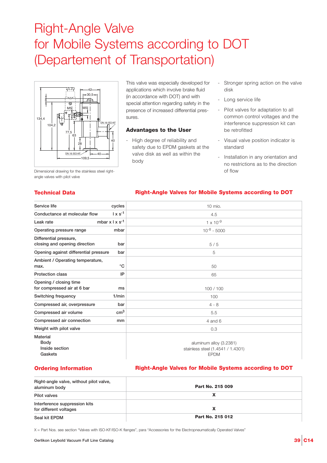### Right-Angle Valve for Mobile Systems according to DOT (Departement of Transportation)



Dimensional drawing for the stainless steel rightangle valves with pilot valve

This valve was especially developed for applications which involve brake fluid (in accordance with DOT) and with special attention regarding safety in the presence of increased differential pressures.

#### **Advantages to the User**

- High degree of reliability and safety due to EPDM gaskets at the valve disk as well as within the body
- Stronger spring action on the valve disk
- Long service life
- Pilot valves for adaptation to all common control voltages and the interference suppression kit can be retrofitted
- Visual valve position indicator is standard
- Installation in any orientation and no restrictions as to the direction of flow

#### **Technical Data**

#### **Right-Angle Valves for Mobile Systems according to DOT**

| Service life                                                | cycles                      | 10 mio.                                                                     |
|-------------------------------------------------------------|-----------------------------|-----------------------------------------------------------------------------|
| Conductance at molecular flow                               | $1 \times s^{-1}$           | 4.5                                                                         |
| Leak rate                                                   | mbar $x \mid x \mid s^{-1}$ | $1 \times 10^{-9}$                                                          |
| Operating pressure range                                    | mbar                        | $10^{-8} - 5000$                                                            |
| Differential pressure,<br>closing and opening direction     | bar                         | 5/5                                                                         |
| Opening against differential pressure                       | bar                         | 5                                                                           |
| Ambient / Operating temperature,<br>°C<br>max.              |                             | 50                                                                          |
| <b>Protection class</b>                                     | IP                          | 65                                                                          |
| Opening / closing time<br>for compressed air at 6 bar<br>ms |                             | 100/100                                                                     |
| 1/min<br>Switching frequency                                |                             | 100                                                                         |
| Compressed air, overpressure                                | bar                         | $4 - 8$                                                                     |
| Compressed air volume                                       | $\rm cm^3$                  | 5.5                                                                         |
| Compressed air connection                                   | mm                          | $4$ and $6$                                                                 |
| Weight with pilot valve                                     |                             | 0.3                                                                         |
| <b>Material</b><br>Body<br>Inside section<br>Gaskets        |                             | aluminum alloy (3.2381)<br>stainless steel (1.4541 / 1.4301)<br><b>EPDM</b> |

#### **Ordering Information**

#### **Right-Angle Valves for Mobile Systems according to DOT**

| Right-angle valve, without pilot valve,<br>aluminum body | Part No. 215 009 |  |
|----------------------------------------------------------|------------------|--|
| Pilot valves                                             |                  |  |
| Interference suppression kits<br>for different voltages  |                  |  |
| Seal kit EPDM                                            | Part No. 215 012 |  |

X = Part Nos. see section "Valves with ISO-KF/ISO-K flanges", para "Accessories for the Electropneumatically Operated Valves"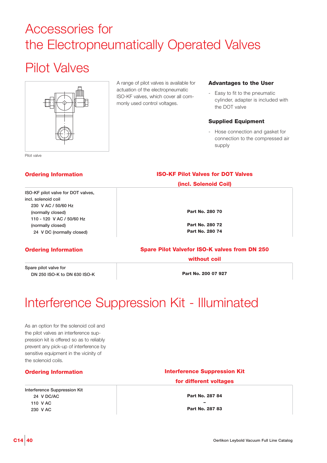### Accessories for the Electropneumatically Operated Valves

### Pilot Valves



A range of pilot valves is available for actuation of the electropneumatic ISO-KF valves, which cover all commonly used control voltages.

#### **Advantages to the User**

- Easy to fit to the pneumatic cylinder, adapter is included with the DOT valve

#### **Supplied Equipment**

- Hose connection and gasket for connection to the compressed air supply

Pilot valve

#### **Ordering Information**

#### **ISO-KF pilot valve for DOT valves, incl. solenoid coil 230 V AC / 50/60 Hz (normally closed) 110 - 120 V AC / 50/60 Hz (normally closed) 024 V DC (normally closed)**

#### **Ordering Information**

**Spare pilot valve for DN 250 ISO-K to DN 630 ISO-K** **(incl. Solenoid Coil)**

**ISO-KF Pilot Valves for DOT Valves**

**Part No. 280 70**

**Part No. 280 72 Part No. 280 74**

### **Spare Pilot Valvefor ISO-K valves from DN 250**

**without coil**

**Part No. 200 07 927**

### Interference Suppression Kit - Illuminated

As an option for the solenoid coil and the pilot valves an interference suppression kit is offered so as to reliably prevent any pick-up of interference by sensitive equipment in the vicinity of the solenoid coils.

#### **Ordering Information**

**Interference Suppression Kit 024 V DC/AC 110 V AC 230 V AC**

### **Interference Suppression Kit for different voltages**

**Part No. 287 84 –**

**Part No. 287 83**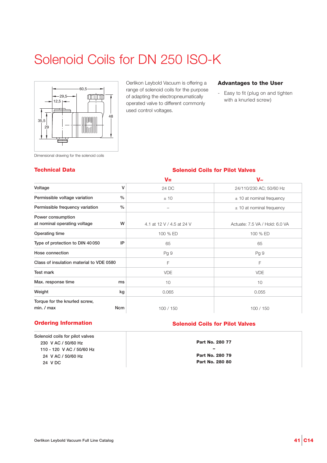# Solenoid Coils for DN 250 ISO-K



Oerlikon Leybold Vacuum is offering a range of solenoid coils for the purpose of adapting the electropneumatically operated valve to different commonly used control voltages.

#### **Advantages to the User**

- Easy to fit (plug on and tighten with a knurled screw)

Dimensional drawing for the solenoid coils

#### **Technical Data Solenoid Coils for Pilot Valves**

|                                                   |               | $V =$                     | $V_{\approx}$                  |
|---------------------------------------------------|---------------|---------------------------|--------------------------------|
| Voltage                                           | ۷             | 24 DC                     | 24/110/230 AC; 50/60 Hz        |
| Permissible voltage variation                     | $\frac{0}{0}$ | ±10                       | $\pm$ 10 at nominal frequency  |
| Permissible frequency variation                   | $\frac{0}{0}$ | -                         | $\pm$ 10 at nominal frequency  |
| Power consumption<br>at nominal operating voltage | W             | 4.1 at 12 V / 4.5 at 24 V | Actuate: 7.5 VA / Hold: 6.0 VA |
| Operating time                                    |               | 100 % ED                  | 100 % ED                       |
| Type of protection to DIN 40050                   | IP            | 65                        | 65                             |
| Hose connection                                   |               | Pg 9                      | Pg 9                           |
| Class of insulation material to VDE 0580          |               | F                         | F                              |
| <b>Test mark</b>                                  |               | <b>VDE</b>                | <b>VDE</b>                     |
| Max. response time                                | ms            | 10                        | 10                             |
| Weight                                            | kg            | 0.065                     | 0.055                          |
| Torque for the knurled screw,<br>min. / max       | <b>Ncm</b>    | 100 / 150                 | 100 / 150                      |

#### **Ordering Information**

**Solenoid coils for pilot valves 230 V AC / 50/60 Hz 110 - 120 V AC / 50/60 Hz 024 V AC / 50/60 Hz 024 V DC**

#### **Solenoid Coils for Pilot Valves**

**Part No. 280 77 – Part No. 280 79 Part No. 280 80**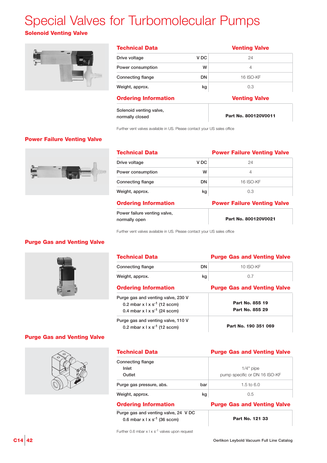# Special Valves for Turbomolecular Pumps

### **Solenoid Venting Valve**



| <b>Technical Data</b>                      |                 | <b>Venting Valve</b> |  |  |
|--------------------------------------------|-----------------|----------------------|--|--|
| Drive voltage                              | V <sub>DC</sub> | 24                   |  |  |
| Power consumption                          | w               | $\overline{4}$       |  |  |
| <b>Connecting flange</b>                   | DN              | <b>16 ISO-KF</b>     |  |  |
| Weight, approx.                            | kg              | 0.3                  |  |  |
| <b>Ordering Information</b>                |                 | <b>Venting Valve</b> |  |  |
| Solenoid venting valve,<br>normally closed |                 | Part No. 800120V0011 |  |  |

Further vent valves available in US. Please contact your US sales office

#### **Power Failure Venting Valve**



| <b>Technical Data</b>                         |                 | <b>Power Failure Venting Valve</b> |
|-----------------------------------------------|-----------------|------------------------------------|
| Drive voltage                                 | V <sub>DC</sub> | 24                                 |
| Power consumption                             | w               | 4                                  |
| <b>Connecting flange</b>                      | <b>DN</b>       | <b>16 ISO-KF</b>                   |
| Weight, approx.                               | kg              | 0.3                                |
| <b>Ordering Information</b>                   |                 | <b>Power Failure Venting Valve</b> |
| Power failure venting valve,<br>normally open |                 | Part No. 800120V0021               |

Further vent valves available in US. Please contact your US sales office

#### **Purge Gas and Venting Valve**



| <b>Technical Data</b>                                                                                                        |           | <b>Purge Gas and Venting Valve</b> |
|------------------------------------------------------------------------------------------------------------------------------|-----------|------------------------------------|
| Connecting flange                                                                                                            | <b>DN</b> | 10 ISO-KF                          |
| Weight, approx.                                                                                                              | kg        | 0.7                                |
| <b>Ordering Information</b>                                                                                                  |           | <b>Purge Gas and Venting Valve</b> |
| Purge gas and venting valve, 230 V<br>0.2 mbar $x \mid x \mid s^{-1}$ (12 sccm)<br>0.4 mbar $x \mid x \mid s^{-1}$ (24 sccm) |           | Part No. 855 19<br>Part No. 855 29 |
| Purge gas and venting valve, 110 V<br>0.2 mbar $x \mid x \mid s^{-1}$ (12 sccm)                                              |           | Part No. 190 351 069               |

#### **Purge Gas and Venting Valve**



| <b>Technical Data</b><br>Connecting flange |     | <b>Purge Gas and Venting Valve</b> |  |
|--------------------------------------------|-----|------------------------------------|--|
|                                            |     |                                    |  |
| Inlet                                      |     | $1/4"$ pipe                        |  |
| Outlet                                     |     | pump specific or DN 16 ISO-KF      |  |
| Purge gas pressure, abs.                   | bar | 1.5 to 6.0                         |  |
| Weight, approx.                            | kg  | 0.5                                |  |
|                                            |     |                                    |  |

#### **Ordering Information**

**Purge gas and venting valve, 24 V DC 0.6 mbar x l x s-1 (36 sccm)**

| $C14$ 42 | Oerlikon Leybold Vacuum Full Line Catalog |
|----------|-------------------------------------------|

**Purge Gas and Venting Valve**

**Part No. 121 33**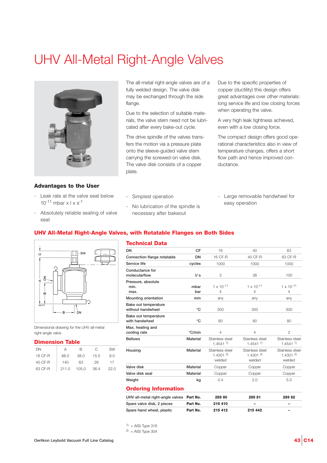### UHV All-Metal Right-Angle Valves



#### **Advantages to the User**

- Leak rate at the valve seat below  $10^{-11}$  mbar x | x s<sup>-1</sup>
- Absolutely reliable sealing of valve seat

The all-metal right-angle valves are of a fully welded design. The valve disk may be exchanged through the side flange.

Due to the selection of suitable materials, the valve stem need not be lubricated after every bake-out cycle.

The drive spindle of the valves transfers the motion via a pressure plate onto the sleeve-guided valve stem carrying the screwed-on valve disk. The valve disk consists of a copper plate.

Due to the specific properties of copper (ductility) this design offers great advantages over other materials: long service life and low closing forces when operating the valve.

A very high leak tightness achieved, even with a low closing force.

The compact design offers good operational characteristics also in view of temperature changes, offers a short flow path and hence improved conductance.

- Simplest operation
- No lubrication of the spindle is necessary after bakeout
- Large removable handwheel for easy operation

#### **UHV All-Metal Right-Angle Valves, with Rotatable Flanges on Both Sides**



Dimensional drawing for the UHV all-metal right-angle valve

#### **Dimension Table**

| DN      | А    | R     | C    | SW   |
|---------|------|-------|------|------|
| 16 CF-R | 88.0 | 38.0  | 15.5 | 8.0  |
| 40 CF-R | 140  | 63    | 26   | 17   |
| 63 CF-R | 2110 | 105.0 | 36.4 | 22.0 |

#### **Technical Data**

| DN                                        | CF              | 16                                                  | 40                                         | 63                                        |
|-------------------------------------------|-----------------|-----------------------------------------------------|--------------------------------------------|-------------------------------------------|
| Connection flange rotatable               | DN              | 16 CF-R                                             | 40 CF-R                                    | 63 CF-R                                   |
| Service life                              | cycles          | 1000                                                | 1000                                       | 1000                                      |
| Conductance for<br>molecularflow          | $\sqrt{s}$      | 3                                                   | 38                                         | 100                                       |
| Pressure, absolute<br>min.<br>max.        | mbar<br>bar     | $1 \times 10^{-11}$<br>4                            | $1 \times 10^{-11}$<br>$\overline{4}$      | $1 \times 10^{-11}$<br>4                  |
| Mounting orientation                      | mm              | any                                                 | any                                        | any                                       |
| Bake out temperature<br>without handwheel | °C              | 300                                                 | 300                                        | 300                                       |
| Bake out temperature<br>with handwheel    | °C              | 80                                                  | 80                                         | 80                                        |
| Max. heating and<br>cooling rate          | °C/min          | 4                                                   | $\overline{4}$                             | $\overline{2}$                            |
| <b>Bellows</b>                            | Material        | Stainless steel<br>$1.4541$ <sup>1)</sup>           | Stainless steel<br>$1.4541$ <sup>1)</sup>  | Stainless steel<br>$1.4541$ <sup>1)</sup> |
| Housing                                   | Material        | Stainless steel<br>$1.4301$ <sup>2)</sup><br>welded | Stainless steel<br>1.4301 $^{2}$<br>welded | Stainless steel<br>1.43012<br>welded      |
| Valve disk                                | <b>Material</b> | Copper                                              | Copper                                     | Copper                                    |
| Valve disk seal                           | <b>Material</b> | Copper                                              | Copper                                     | Copper                                    |
| Weight                                    | kg              | 0.4                                                 | 2.0                                        | 5.0                                       |
| .                                         |                 |                                                     |                                            |                                           |

#### **Ordering Information**

| UHV all-metal right-angle valves Part No. |          | 289 80  | 289 81                   | 28982                    |
|-------------------------------------------|----------|---------|--------------------------|--------------------------|
| Spare valve disk, 2 pieces                | Part No. | 215 410 | $\overline{\phantom{0}}$ | $\overline{\phantom{a}}$ |
| Spare hand wheel, plastic                 | Part No. | 215 412 | 215 442                  | $\overline{\phantom{0}}$ |

 $1$ ) = AISI Type 316

```
^{2)} = AISI Type 304
```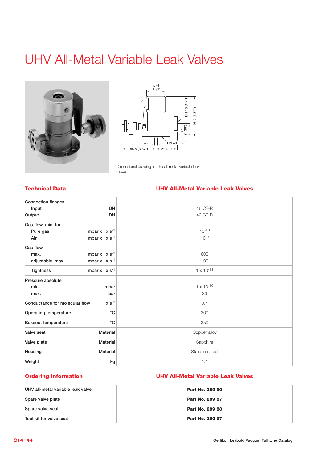### UHV All-Metal Variable Leak Valves





Dimensional drawing for the all-metal variable leak valves

#### **Technical Data UHV All-Metal Variable Leak Valves**

| <b>Connection flanges</b>      |                        |                     |
|--------------------------------|------------------------|---------------------|
| Input                          | <b>DN</b>              | 16 CF-R             |
| Output                         | <b>DN</b>              | 40 CF-R             |
| Gas flow, min. for             |                        |                     |
| Pure gas                       | mbar $x \mid x s^{-1}$ | $10^{-10}$          |
| Air                            | mbar $x \mid x s^{-1}$ | $10^{-9}$           |
| Gas flow                       |                        |                     |
| max.                           | mbar $x \mid x s^{-1}$ | 600                 |
| adjustable, max.               | mbar $x \mid x s^{-1}$ | 100                 |
| <b>Tightness</b>               | mbar $x \mid x s^{-1}$ | $1 \times 10^{-11}$ |
| Pressure absolute              |                        |                     |
| min.                           | mbar                   | $1 \times 10^{-10}$ |
| max.                           | bar                    | 30                  |
| Conductance for molecular flow | $1 \times s^{-1}$      | 0,7                 |
| Operating temperature          | $^{\circ}C$            | 200                 |
| <b>Bakeout temperature</b>     | $^{\circ}$ C           | 350                 |
| Valve seat                     | <b>Material</b>        | Copper alloy        |
| Valve plate                    | <b>Material</b>        | Sapphire            |
| Housing                        | Material               | Stainless steel     |
| Weight                         | kg                     | 1.4                 |

#### **Ordering information**

### **UHV All-Metal Variable Leak Valves**

| UHV all-metal variable leak valve | Part No. 289 90        |
|-----------------------------------|------------------------|
| Spare valve plate                 | <b>Part No. 289 87</b> |
| Spare valve seat                  | Part No. 289 88        |
| Tool kit for valve seat           | Part No. 290 97        |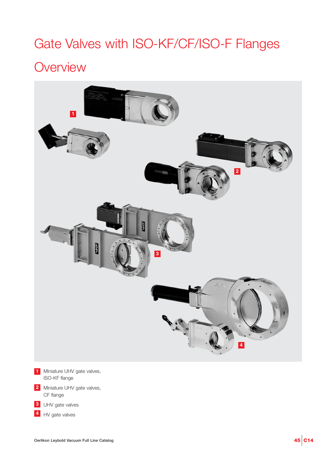# Gate Valves with ISO-KF/CF/ISO-F Flanges

### **Overview**



- **1** Miniature UHV gate valves, ISO-KF flange
- 2 Miniature UHV gate valves, CF flange
- UHV gate valves **3**
- 4 HV gate valves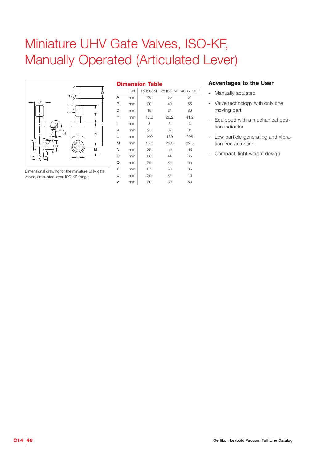### Miniature UHV Gate Valves, ISO-KF, Manually Operated (Articulated Lever)



Dimensional drawing for the miniature UHV gate valves, articulated lever, ISO-KF flange

| <b>Dimension Table</b> |    |      |                               |      |  |  |
|------------------------|----|------|-------------------------------|------|--|--|
|                        | DN |      | 16 ISO-KF 25 ISO-KF 40 ISO-KF |      |  |  |
| А                      | mm | 40   | 50                            | 51   |  |  |
| в                      | mm | 30   | 40                            | 55   |  |  |
| D                      | mm | 15   | 24                            | 39   |  |  |
| н                      | mm | 17.2 | 26.2                          | 41.2 |  |  |
| ı                      | mm | 3    | 3                             | 3    |  |  |
| κ                      | mm | 25   | 32                            | 31   |  |  |
| L                      | mm | 100  | 139                           | 208  |  |  |
| м                      | mm | 15.0 | 22.0                          | 32.5 |  |  |
| N                      | mm | 39   | 59                            | 93   |  |  |
| o                      | mm | 30   | 44                            | 65   |  |  |
| Q                      | mm | 25   | 35                            | 55   |  |  |
| T                      | mm | 37   | 50                            | 85   |  |  |
| U                      | mm | 25   | 32                            | 40   |  |  |
| ٧                      | mm | 30   | 30                            | 50   |  |  |

- Manually actuated
- Valve technology with only one moving part
- Equipped with a mechanical position indicator
- Low particle generating and vibration free actuation
- Compact, light-weight design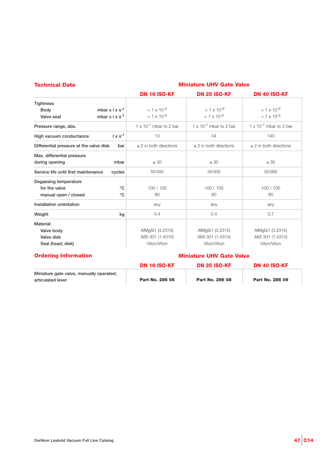| <b>Technical Data</b>                   |                             | <b>Miniature UHV Gate Valve</b>    |                                    |                                    |  |
|-----------------------------------------|-----------------------------|------------------------------------|------------------------------------|------------------------------------|--|
|                                         |                             | <b>DN 16 ISO-KF</b>                | <b>DN 25 ISO-KF</b>                | DN 40 ISO-KF                       |  |
| <b>Tightness</b>                        |                             |                                    |                                    |                                    |  |
| <b>Body</b>                             | mbar $x \mid x \mid s^{-1}$ | $< 1 \times 10^{-9}$               | $< 1 \times 10^{-9}$               | $<$ 1 x 10 <sup>-9</sup>           |  |
| Valve seat                              | mbar $x \mid x s^{-1}$      | $< 1 \times 10^{-9}$               | $< 1 \times 10^{-9}$               | $< 1 \times 10^{-9}$               |  |
| Pressure range, abs.                    |                             | 1 x 10 <sup>-7</sup> mbar to 2 bar | 1 x 10 <sup>-7</sup> mbar to 2 bar | 1 x 10 <sup>-7</sup> mbar to 2 bar |  |
| High vacuum conductance                 | $1 \times s^{-1}$           | 10                                 | 34                                 | 140                                |  |
| Differential pressure at the valve disk | bar                         | $\leq$ 2 in both directions        | $\leq$ 2 in both directions        | $\leq$ 2 in both directions        |  |
| Max. differential pressure              |                             |                                    |                                    |                                    |  |
| during opening                          | mbar                        | $\leq 30$                          | $\leq 30$                          | $\leq 30$                          |  |
| Service life until first maintenance    | cycles                      | 50000                              | 50000                              | 50000                              |  |
| Degassing temperature                   |                             |                                    |                                    |                                    |  |
| for the valve                           | $^{\circ}C$                 | 100/100                            | 100/100                            | 100 / 100                          |  |
| manual open / closed                    | $^{\circ}$ C                | 80                                 | 80                                 | 80                                 |  |
| Installation orientation                |                             | any                                | any                                | any                                |  |
| Weight                                  | kg                          | 0.4                                | 0.4                                | 0.7                                |  |
| <b>Material</b>                         |                             |                                    |                                    |                                    |  |
| Valve body                              |                             | AlMgSi1 (3.2315)                   | AlMgSi1 (3.2315)                   | AlMgSi1 (3.2315)                   |  |
| Valve disk                              |                             | AISI 301 (1.4310)                  | AISI 301 (1.4310)                  | AISI 301 (1.4310)                  |  |
| Seal (head, disk)                       |                             | Viton/Viton                        | Viton/Viton                        | Viton/Viton                        |  |

#### **Ordering Information**

#### **Miniature UHV Gate Valve**

|                                                               | <b>DN 16 ISO-KF</b> | <b>DN 25 ISO-KF</b> | DN 40 ISO-KF    |
|---------------------------------------------------------------|---------------------|---------------------|-----------------|
| Miniature gate valve, manually operated,<br>articulated lever | Part No. 286 06     | Part No. 286 08     | Part No. 286 09 |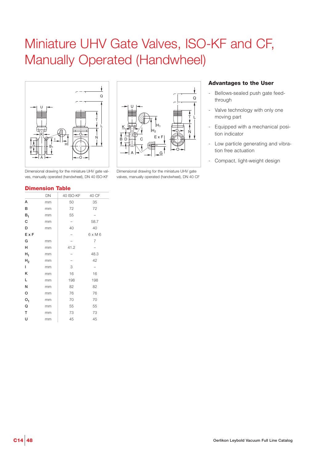### Miniature UHV Gate Valves, ISO-KF and CF, Manually Operated (Handwheel)





Dimensional drawing for the miniature UHV gate valves, manually operated (handwheel), DN 40 CF

Dimensional drawing for the miniature UHV gate valves, manually operated (handwheel), DN 40 ISO-KF

### **Advantages to the User**

- Bellows-sealed push gate feedthrough
- Valve technology with only one moving part
- Equipped with a mechanical position indicator
- Low particle generating and vibration free actuation
- Compact, light-weight design

#### **Dimension Table**

|                | DN | 40 ISO-KF         | 40 CF                    |
|----------------|----|-------------------|--------------------------|
| А              | mm | 50                | 35                       |
| в              | mm | 72                | 72                       |
| $B_1$          | mm | 55                | $\overline{\phantom{0}}$ |
| С              | mm | $\qquad \qquad -$ | 58.7                     |
| D              | mm | 40                | 40                       |
| ExF            |    |                   | $6 \times M6$            |
| G              | mm |                   | 7                        |
| н              | mm | 41.2              |                          |
| $H_1$          | mm |                   | 48.3                     |
| H <sub>2</sub> | mm |                   | 42                       |
| L              | mm | 3                 |                          |
| Κ              | mm | 16                | 16                       |
| Г              | mm | 198               | 198                      |
| Ν              | mm | 82                | 82                       |
| O              | mm | 76                | 76                       |
| O <sub>1</sub> | mm | 70                | 70                       |
| Q              | mm | 55                | 55                       |
| T              | mm | 73                | 73                       |
| Ù              | mm | 45                | 45                       |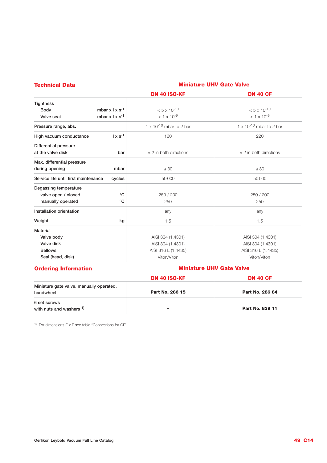| <b>Technical Data</b>                |                             | <b>Miniature UHV Gate Valve</b> |                                   |  |  |
|--------------------------------------|-----------------------------|---------------------------------|-----------------------------------|--|--|
|                                      |                             | <b>DN 40 ISO-KF</b>             | <b>DN 40 CF</b>                   |  |  |
| <b>Tightness</b>                     |                             |                                 |                                   |  |  |
| <b>Body</b>                          | mbar $x \mid x \mid s^{-1}$ | $< 5 \times 10^{-10}$           | $< 5 \times 10^{-10}$             |  |  |
| Valve seat                           | mbar $x \mid x s^{-1}$      | $< 1 \times 10^{-9}$            | $<$ 1 x 10 <sup>-9</sup>          |  |  |
| Pressure range, abs.                 |                             | 1 x 10 $^{-10}$ mbar to 2 bar   | $1 \times 10^{-10}$ mbar to 2 bar |  |  |
| High vacuum conductance              | $1 \times s^{-1}$           | 160                             | 220                               |  |  |
| Differential pressure                |                             |                                 |                                   |  |  |
| at the valve disk                    | bar                         | $\leq$ 2 in both directions     | $\leq$ 2 in both directions       |  |  |
| Max. differential pressure           |                             |                                 |                                   |  |  |
| during opening                       | mbar                        | $\leq 30$                       | $\leq 30$                         |  |  |
| Service life until first maintenance | cycles                      | 50000                           | 50000                             |  |  |
| Degassing temperature                |                             |                                 |                                   |  |  |
| valve open / closed                  | $^{\circ}C$                 | 250 / 200                       | 250 / 200                         |  |  |
| manually operated                    | $^{\circ}$ C                | 250                             | 250                               |  |  |
| Installation orientation             |                             | any                             | any                               |  |  |
| Weight                               | kg                          | 1.5                             | 1.5                               |  |  |
| Material                             |                             |                                 |                                   |  |  |
| Valve body                           |                             | AISI 304 (1.4301)               | AISI 304 (1.4301)                 |  |  |
| Valve disk                           |                             | AISI 304 (1.4301)               | AISI 304 (1.4301)                 |  |  |
| <b>Bellows</b>                       |                             | AISI 316 L (1.4435)             | AISI 316 L (1.4435)               |  |  |
| Seal (head, disk)                    |                             | Viton/Viton                     | Viton/Viton                       |  |  |

### **Ordering Information**

### **Miniature UHV Gate Valve**

|                                                       | <b>DN 40 ISO-KF</b>      | <b>DN 40 CF</b> |
|-------------------------------------------------------|--------------------------|-----------------|
| Miniature gate valve, manually operated,<br>handwheel | Part No. 286 15          | Part No. 286 84 |
| 6 set screws<br>with nuts and washers 1)              | $\overline{\phantom{a}}$ | Part No. 839 11 |

1) For dimensions  $E \times F$  see table "Connections for CF"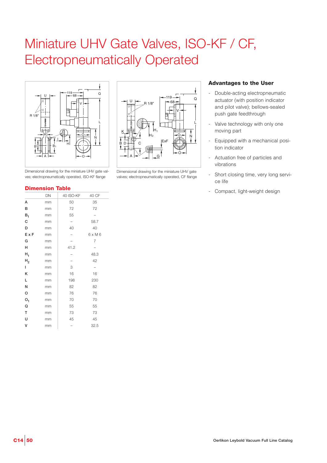## Miniature UHV Gate Valves, ISO-KF / CF, Electropneumatically Operated



Dimensional drawing for the miniature UHV gate valves; electropneumatically operated, ISO-KF flange



|                | DN | 40 ISO-KF                | 40 CF         |
|----------------|----|--------------------------|---------------|
| А              | mm | 50                       | 35            |
| в              | mm | 72                       | 72            |
| $B_{1}$        | mm | 55                       |               |
| C              | mm | -                        | 58.7          |
| D              | mm | 40                       | 40            |
| ExF            | mm | $\overline{\phantom{0}}$ | $6 \times M6$ |
| G              | mm |                          | 7             |
| н              | mm | 41.2                     |               |
| $H_1$          | mm |                          | 48.3          |
| н,             | mm |                          | 42            |
| L              | mm | 3                        |               |
| Κ              | mm | 16                       | 16            |
| Г              | mm | 198                      | 230           |
| Ν              | mm | 82                       | 82            |
| O              | mm | 76                       | 76            |
| O <sub>1</sub> | mm | 70                       | 70            |
| Q              | mm | 55                       | 55            |
| T              | mm | 73                       | 73            |
| U              | mm | 45                       | 45            |
| ٧              | mm |                          | 32.5          |



Dimensional drawing for the miniature UHV gate valves; electropneumatically operated, CF flange

- Double-acting electropneumatic actuator (with position indicator and pilot valve); bellows-sealed push gate feedthrough
- Valve technology with only one moving part
- Equipped with a mechanical position indicator
- Actuation free of particles and vibrations
- Short closing time, very long service life
- **Dimension Table Dimension Table Dimension Table Dimension Table Dimension Table Dimension Compact, light-weight design**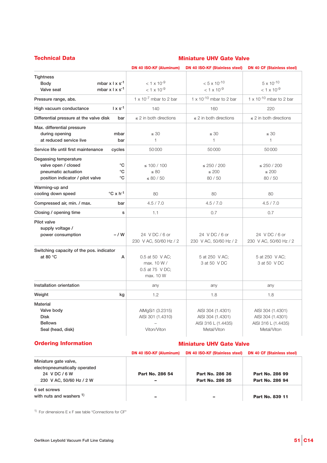### **Technical Data Miniature UHV Gate Valve**

|                                                                                                                                                      | <b>DN 40 ISO-KF (Aluminum)</b>                                 | <b>DN 40 ISO-KF (Stainless steel)</b>                                        | <b>DN 40 CF (Stainless steel)</b>                                            |
|------------------------------------------------------------------------------------------------------------------------------------------------------|----------------------------------------------------------------|------------------------------------------------------------------------------|------------------------------------------------------------------------------|
| <b>Tightness</b><br>mbar $x \perp x$ s <sup>-1</sup><br><b>Body</b><br>mbar $x \mid x \mid s^{-1}$<br>Valve seat                                     | $< 1 \times 10^{-9}$<br>$< 1 \times 10^{-9}$                   | $< 5 \times 10^{-10}$<br>$< 1 \times 10^{-9}$                                | $5 \times 10^{-10}$<br>$< 1 \times 10^{-9}$                                  |
| Pressure range, abs.                                                                                                                                 | $1 \times 10^{-7}$ mbar to 2 bar                               | $1 \times 10^{-10}$ mbar to 2 bar                                            | $1 \times 10^{-10}$ mbar to 2 bar                                            |
| $1 \times s^{-1}$<br>High vacuum conductance                                                                                                         | 140                                                            | 160                                                                          | 220                                                                          |
| Differential pressure at the valve disk<br>bar                                                                                                       | $\leq$ 2 in both directions                                    | $\leq$ 2 in both directions                                                  | $\leq$ 2 in both directions                                                  |
| Max. differential pressure<br>during opening<br>mbar<br>at reduced service live<br>bar                                                               | $\leq 30$<br>$\mathbf{1}$                                      | $\leq 30$<br>1                                                               | $\leq 30$<br>$\mathbf{1}$                                                    |
| Service life until first maintenance<br>cycles                                                                                                       | 50000                                                          | 50000                                                                        | 50000                                                                        |
| Degassing temperature<br>$^{\circ}C$<br>valve open / closed<br>$^{\circ}C$<br>pneumatic actuation<br>$^{\circ}C$<br>position indicator / pilot valve | $\leq 100 / 100$<br>$\leq 80$<br>$\leq 80$ / 50                | $\leq$ 250 / 200<br>$\leq 200$<br>80 / 50                                    | $\leq$ 250 / 200<br>$\leq 200$<br>80 / 50                                    |
| Warming-up and<br>$\mathrm{^{\circ}C}$ x h <sup>-1</sup><br>cooling down speed                                                                       | 80                                                             | 80                                                                           | 80                                                                           |
| Compressed air, min. / max.<br>bar                                                                                                                   | 4.5 / 7.0                                                      | 4.5 / 7.0                                                                    | 4.5 / 7.0                                                                    |
| Closing / opening time<br>s                                                                                                                          | 1.1                                                            | 0.7                                                                          | 0.7                                                                          |
| Pilot valve<br>supply voltage /<br>$-$ / W<br>power consumption                                                                                      | 24 VDC/6 or<br>230 V AC, 50/60 Hz / 2                          | 24 V DC / 6 or<br>230 V AC, 50/60 Hz / 2                                     | 24 VDC/6 or<br>230 V AC, 50/60 Hz / 2                                        |
| Switching capacity of the pos. indicator<br>at 80 °C<br>А                                                                                            | 0.5 at 50 V AC:<br>max. 10 W /<br>0.5 at 75 V DC;<br>max. 10 W | 5 at 250 V AC:<br>3 at 50 V DC                                               | 5 at 250 V AC:<br>3 at 50 V DC                                               |
| Installation orientation                                                                                                                             | any                                                            | any                                                                          | any                                                                          |
| Weight<br>kg                                                                                                                                         | 1.2                                                            | 1.8                                                                          | 1.8                                                                          |
| Material<br>Valve body<br><b>Disk</b><br><b>Bellows</b><br>Seal (head, disk)                                                                         | AlMgSi1 (3.2315)<br>AISI 301 (1.4310)<br>Viton/Viton           | AISI 304 (1.4301)<br>AISI 304 (1.4301)<br>AISI 316 L (1.4435)<br>Metal/Viton | AISI 304 (1.4301)<br>AISI 304 (1.4301)<br>AISI 316 L (1.4435)<br>Metal/Viton |

#### **Ordering Information**

#### **Miniature UHV Gate Valve**

|                               | <b>DN 40 ISO-KF (Aluminum)</b> | <b>DN 40 ISO-KF (Stainless steel)</b> | <b>DN 40 CF (Stainless steel)</b> |
|-------------------------------|--------------------------------|---------------------------------------|-----------------------------------|
| Miniature gate valve,         |                                |                                       |                                   |
| electropneumatically operated |                                |                                       |                                   |
| 24 VDC/6W                     | Part No. 286 54                | Part No. 286 36                       | Part No. 286 99                   |
| 230 V AC, 50/60 Hz / 2 W      |                                | Part No. 286 35                       | Part No. 286 94                   |
| 6 set screws                  |                                |                                       |                                   |
| with nuts and washers 1)      |                                |                                       | Part No. 839 11                   |

 $1)$  For dimensions E x F see table "Connections for CF"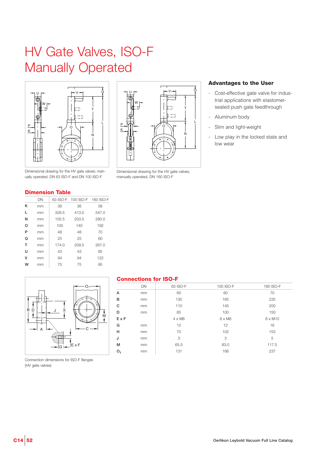# HV Gate Valves, ISO-F Manually Operated



ually operated, DN 63 ISO-F and DN 100 ISO-F

U W  $P = M M = 40^\circ$ K N T L  $V \rightarrow$ 

Dimensional drawing for the HV gate valves; manually operated, DN 160 ISO-F

#### **Advantages to the User**

- Cost-effective gate valve for industrial applications with elastomersealed push gate feedthrough
- Aluminum body
- Slim and light-weight
- Low play in the locked state and low wear

#### **Dimension Table**

|   | DN | 63 ISO-F | 100 ISO-F | 160 ISO-F |
|---|----|----------|-----------|-----------|
| κ | mm | 36       | 36        | 58        |
| L | mm | 329.5    | 413.0     | 547.0     |
| N | mm | 155.5    | 203.5     | 280.0     |
| O | mm | 100      | 140       | 192       |
| P | mm | 48       | 48        | 70        |
| Q | mm | 25       | 25        | 60        |
| т | mm | 174.0    | 209.5     | 267.0     |
| U | mm | 43       | 43        | 65        |
| v | mm | 94       | 94        | 122       |
| w | mm | 75       | 75        | 95        |



#### **Connections for ISO-F**

|     | DN | 63 ISO-F | 100 ISO-F | 160 ISO-F |
|-----|----|----------|-----------|-----------|
| А   | mm | 60       | 60        | 70        |
| B   | mm | 130      | 165       | 235       |
| C   | mm | 110      | 145       | 200       |
| D   | mm | 65       | 100       | 150       |
| ExF |    | 4 x M8   | 8 x M8    | 8 x M10   |
| G   | mm | 12       | 12        | 16        |
| н   | mm | 70       | 102       | 153       |
| J   | mm | 3        | 3         | 5         |
| М   | mm | 65.5     | 83.0      | 117.5     |
| ο,  | mm | 131      | 166       | 237       |
|     |    |          |           |           |

Connection dimensions for ISO-F flanges (HV gate valves)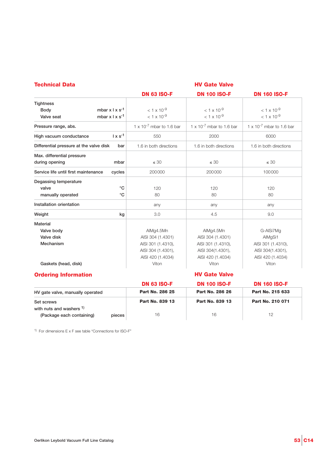| <b>Technical Data</b>                          | <b>HV Gate Valve</b>               |                                    |                                    |  |  |
|------------------------------------------------|------------------------------------|------------------------------------|------------------------------------|--|--|
|                                                | <b>DN 63 ISO-F</b>                 | <b>DN 100 ISO-F</b>                | <b>DN 160 ISO-F</b>                |  |  |
| <b>Tightness</b>                               |                                    |                                    |                                    |  |  |
| mbar $x \mid x s^{-1}$<br><b>Body</b>          | $< 1 \times 10^{-9}$               | $< 1 \times 10^{-9}$               | $< 1 \times 10^{-9}$               |  |  |
| mbar $x \mid x s^{-1}$<br>Valve seat           | $< 1 \times 10^{-9}$               | $< 1 \times 10^{-9}$               | $< 1 \times 10^{-9}$               |  |  |
| Pressure range, abs.                           | $1 \times 10^{-7}$ mbar to 1.6 bar | $1 \times 10^{-7}$ mbar to 1.6 bar | $1 \times 10^{-7}$ mbar to 1.6 bar |  |  |
| $1 \times s^{-1}$<br>High vacuum conductance   | 550                                | 2000                               | 6000                               |  |  |
| Differential pressure at the valve disk<br>bar | 1.6 in both directions             | 1.6 in both directions             | 1.6 in both directions             |  |  |
| Max. differential pressure                     |                                    |                                    |                                    |  |  |
| during opening<br>mbar                         | $\leq 30$                          | $\leq 30$                          | $\leq 30$                          |  |  |
| Service life until first maintenance<br>cycles | 200000                             | 200000                             | 100000                             |  |  |
| Degassing temperature                          |                                    |                                    |                                    |  |  |
| $^{\circ}C$<br>valve                           | 120                                | 120                                | 120                                |  |  |
| °C<br>manually operated                        | 80                                 | 80                                 | 80                                 |  |  |
| Installation orientation                       | any                                | any                                | any                                |  |  |
| Weight<br>kg                                   | 3.0                                | 4.5                                | 9.0                                |  |  |
| Material                                       |                                    |                                    |                                    |  |  |
| Valve body                                     | AlMg4.5Mn                          | AlMg4.5Mn                          | G-AlSi7Mg                          |  |  |
| Valve disk                                     | AISI 304 (1.4301)                  | AISI 304 (1.4301)                  | AlMgSi1                            |  |  |
| Mechanism                                      | AISI 301 (1.4310),                 | AISI 301 (1.4310),                 | AISI 301 (1.4310),                 |  |  |
|                                                | AISI 304 (1.4301),                 | AISI 304(1.4301),                  | AISI 304(1.4301),                  |  |  |
|                                                | AISI 420 (1.4034)                  | AISI 420 (1.4034)                  | AISI 420 (1.4034)                  |  |  |
| Gaskets (head, disk)                           | Viton                              | Viton                              | Viton                              |  |  |
| <b>Ordering Information</b>                    |                                    | <b>HV Gate Valve</b>               |                                    |  |  |
|                                                | <b>DN 63 ISO-F</b>                 | <b>DN 100 ISO-F</b>                | <b>DN 160 ISO-F</b>                |  |  |
| HV gate valve, manually operated               | Part No. 286 25                    | Part No. 286 26                    | Part No. 215 633                   |  |  |
| Set screws                                     | Part No. 839 13                    | Part No. 839 13                    | Part No. 210 071                   |  |  |
| with nuts and washers 1)                       |                                    |                                    |                                    |  |  |
| (Package each containing)<br>pieces            | 16                                 | 16                                 | 12                                 |  |  |

1) For dimensions  $E \times F$  see table "Connections for ISO-F"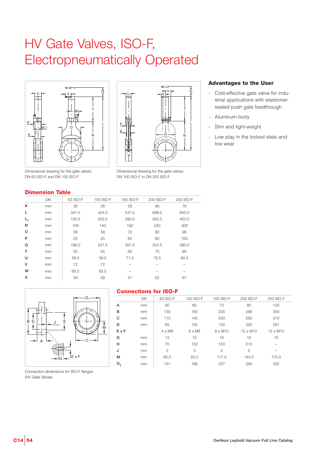# HV Gate Valves, ISO-F, Electropneumatically Operated





Dimensional drawing for the gate valves; DN 63 ISO-F and DN 100 ISO-F

**Dimension Table**

#### Dimensional drawing for the gate valves; DN 160 ISO-F to DN 250 ISO-F

### **Advantages to the User**

- Cost-effective gate valve for industrial applications with elastomersealed push gate feedthrough
- Aluminum body
- Slim and light-weight
- Low play in the locked state and low wear

|    | DN | 63 ISO-F | 100 ISO-F | 160 ISO-F | 200 ISO-F | 250 ISO-F |
|----|----|----------|-----------|-----------|-----------|-----------|
| κ  | mm | 36       | 36        | 58        | 66        | 76        |
| L  | mm | 341.5    | 424.0     | 547.0     | 688.0     | 843.0     |
| L, | mm | 155.5    | 203.5     | 280.0     | 363.5     | 453.0     |
| Ν  | mm | 100      | 140       | 192       | 240       | 308       |
| O  | mm | 58       | 58        | 70        | 80        | 96        |
| P  | mm | 25       | 25        | 60        | 80        | 100       |
| Q  | mm | 186.0    | 221.5     | 267.0     | 324.5     | 390.0     |
| т  | mm | 55       | 55        | 65        | 75        | 86        |
| U  | mm | 56.0     | 56.0      | 71.5      | 76.5      | 84.5      |
| v  | mm | 72       | 72        |           |           |           |
| W  | mm | 65.5     | 65.5      |           |           |           |
| x  | mm | 59       | 59        | 57        | 62        | 67        |
|    |    |          |           |           |           |           |



#### **Connections for ISO-F**

|     | DN | 63 ISO-F      | 100 ISO-F     | 160 ISO-F      | 200 ISO-F | 250 ISO-F |  |
|-----|----|---------------|---------------|----------------|-----------|-----------|--|
| A   | mm | 60            | 60            | 70             | 80        | 100       |  |
| в   | mm | 130           | 165           | 235            | 288       | 350       |  |
| C   | mm | 110           | 145           | 200            | 260       | 310       |  |
| D   | mm | 65            | 100           | 150            | 200       | 261       |  |
| ExF |    | $4 \times M8$ | $8 \times M8$ | $8 \times M10$ | 12 x M10  | 12 x M10  |  |
| G   | mm | 12            | 12            | 16             | 16        | 16        |  |
| н   | mm | 70            | 102           | 153            | 213       |           |  |
| J   | mm | 3             | 3             | 5              | 5         |           |  |
| М   | mm | 65.5          | 83.0          | 117.5          | 144.0     | 175.0     |  |
| ο,  | mm | 131           | 166           | 237            | 290       | 352       |  |
|     |    |               |               |                |           |           |  |

Connection dimensions for ISO-F flanges (HV Gate Valves)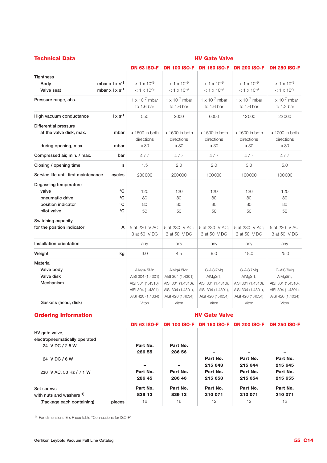| <b>Technical Data</b>                | <b>HV Gate Valve</b>        |                                       |                                       |                                       |                                       |                                       |
|--------------------------------------|-----------------------------|---------------------------------------|---------------------------------------|---------------------------------------|---------------------------------------|---------------------------------------|
|                                      |                             | <b>DN 63 ISO-F</b>                    | <b>DN 100 ISO-F</b>                   | <b>DN 160 ISO-F</b>                   | <b>DN 200 ISO-F</b>                   | <b>DN 250 ISO-F</b>                   |
| <b>Tightness</b>                     |                             |                                       |                                       |                                       |                                       |                                       |
| <b>Body</b>                          | mbar $x \mid x \mid s^{-1}$ | $< 1 \times 10^{-9}$                  | $< 1 \times 10^{-9}$                  | $1 \times 10^{-9}$                    | $< 1 \times 10^{-9}$                  | $< 1 \times 10^{-9}$                  |
| Valve seat                           | mbar $x \mid x \mid s^{-1}$ | $< 1 \times 10^{-9}$                  | $<$ 1 x 10 <sup>-9</sup>              | $<$ 1 x 10 <sup>-9</sup>              | $<$ 1 x 10 <sup>-9</sup>              | $<$ 1 x 10 <sup>-9</sup>              |
| Pressure range, abs.                 |                             | $1 \times 10^{-7}$ mbar<br>to 1.6 bar | $1 \times 10^{-7}$ mbar<br>to 1.6 bar | $1 \times 10^{-7}$ mbar<br>to 1.6 bar | $1 \times 10^{-7}$ mbar<br>to 1.6 bar | $1 \times 10^{-7}$ mbar<br>to 1.2 bar |
| High vacuum conductance              | $1 \times s^{-1}$           | 550                                   | 2000                                  | 6000                                  | 12000                                 | 22000                                 |
| Differential pressure                |                             |                                       |                                       |                                       |                                       |                                       |
| at the valve disk, max.              | mbar                        | $\leq 1600$ in both<br>directions     | $\leq$ 1600 in both<br>directions     | $\leq 1600$ in both<br>directions     | $\leq$ 1600 in both<br>directions     | $\leq$ 1200 in both<br>directions     |
| during opening, max.                 | mbar                        | $\leq 30$                             | $\leq 30$                             | $\leq 30$                             | $\leq 30$                             | $\leq 30$                             |
| Compressed air, min. / max.          | bar                         | 4/7                                   | 4/7                                   | 4/7                                   | 4/7                                   | 4/7                                   |
| Closing / opening time               | s                           | 1.5                                   | 2.0                                   | 2.0                                   | 3.0                                   | 5.0                                   |
| Service life until first maintenance | cycles                      | 200000                                | 200000                                | 100000                                | 100000                                | 100000                                |
| Degassing temperature                |                             |                                       |                                       |                                       |                                       |                                       |
| valve                                | °C                          | 120                                   | 120                                   | 120                                   | 120                                   | 120                                   |
| pneumatic drive                      | °C                          | 80                                    | 80                                    | 80                                    | 80                                    | 80                                    |
| position indicator                   | °C                          | 80                                    | 80                                    | 80                                    | 80                                    | 80                                    |
| pilot valve                          | °C                          | 50                                    | 50                                    | 50                                    | 50                                    | 50                                    |
| Switching capacity                   |                             |                                       |                                       |                                       |                                       |                                       |
| for the position indicator           | A                           | 5 at 230 V AC;<br>3 at 50 V DC        | 5 at 230 V AC;<br>3 at 50 V DC        | 5 at 230 V AC:<br>3 at 50 V DC        | 5 at 230 V AC:<br>3 at 50 V DC        | 5 at 230 V AC;<br>3 at 50 V DC        |
| Installation orientation             |                             | any                                   | any                                   | any                                   | any                                   | any                                   |
| Weight                               | kg                          | 3.0                                   | 4.5                                   | 9.0                                   | 18.0                                  | 25.0                                  |
| <b>Material</b>                      |                             |                                       |                                       |                                       |                                       |                                       |
| Valve body                           |                             | AlMg4.5Mn                             | AlMg4.5Mn                             | G-AISi7Mg                             | G-AlSi7Mg                             | G-AlSi7Mg                             |
| Valve disk                           |                             | AISI 304 (1.4301)                     | AISI 304 (1.4301)                     | AlMgSi1,                              | AlMgSi1,                              | AlMgSi1,                              |
| Mechanism                            |                             | AISI 301 (1.4310),                    | AISI 301 (1.4310),                    | AISI 301 (1.4310),                    | AISI 301 (1.4310),                    | AISI 301 (1.4310),                    |
|                                      |                             | AISI 304 (1.4301),                    | AISI 304 (1.4301),                    | AISI 304 (1.4301),                    | AISI 304 (1.4301),                    | AISI 304 (1.4301),                    |
|                                      |                             | AISI 420 (1.4034)                     | AISI 420 (1.4034)                     | AISI 420 (1.4034)                     | AISI 420 (1.4034)                     | AISI 420 (1.4034)                     |
| Gaskets (head, disk)                 |                             | Viton                                 | Viton                                 | Viton                                 | Viton                                 | Viton                                 |

#### **Ordering Information**

**HV Gate Valve**

|                                     | <b>DN 63 ISO-F</b> |          | <b>DN 100 ISO-F DN 160 ISO-F</b> | <b>DN 200 ISO-F</b> | <b>DN 250 ISO-F</b> |
|-------------------------------------|--------------------|----------|----------------------------------|---------------------|---------------------|
| HV gate valve,                      |                    |          |                                  |                     |                     |
| electropneumatically operated       |                    |          |                                  |                     |                     |
| 24 V DC / 2.5 W                     | Part No.           | Part No. |                                  |                     |                     |
|                                     | 286 55             | 286 56   |                                  |                     |                     |
| 24 V DC / 6 W                       |                    |          | Part No.                         | Part No.            | Part No.            |
|                                     |                    |          | 215 643                          | 215 644             | 215 645             |
| 230 V AC, 50 Hz / 7.1 W             | Part No.           | Part No. | Part No.                         | Part No.            | Part No.            |
|                                     | 286 45             | 286 46   | 215 653                          | 215 654             | 215 655             |
| Set screws                          | Part No.           | Part No. | Part No.                         | Part No.            | Part No.            |
| with nuts and washers 1)            | 839 13             | 839 13   | 210 071                          | 210 071             | 210 071             |
| (Package each containing)<br>pieces | 16                 | 16       | 12                               | 12                  | 12                  |

 $1)$  For dimensions E x F see table "Connections for ISO-F"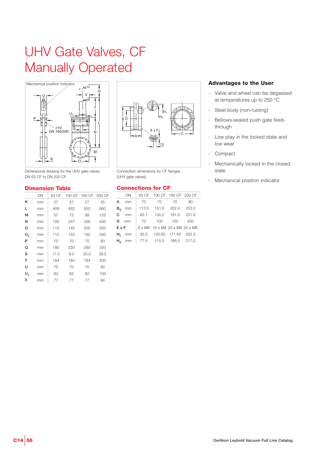# UHV Gate Valves, CF Manually Operated



Dimensional drawing for the UHV gate valves DN 63 CF to DN 200 CF

#### **Dimension Table**

|                | DN | 63 CF | 100 CF |      | 160 CF 200 CF |
|----------------|----|-------|--------|------|---------------|
| Κ              | mm | 27    | 27     | 27   | 35            |
| L              | mm | 408   | 462    | 552  | 660           |
| м              | mm | 57    | 73     | 99   | 125           |
| Ν              | mm | 192   | 247    | 336  | 430           |
| o              | mm | 115   | 145    | 200  | 250           |
| O <sub>1</sub> | mm | 112   | 142    | 192  | 240           |
| P              | mm | 70    | 70     | 70   | 80            |
| Q              | mm | 180   | 220    | 290  | 350           |
| S              | mm | 11.0  | 9.0    | 25.0 | 38.5          |
| T              | mm | 184   | 184    | 184  | 200           |
| U              | mm | 70    | 70     | 70   | 90            |
| U,             | mm | 83    | 83     | 83   | 103           |
| ٧              | mm | 77    | 77     | 77   | 94            |
|                |    |       |        |      |               |



Connection dimensions for CF flanges (UHV gate valves)

#### **Connections for CF**

| DN |                                                               |  |                                                                                                                                                                                                     |
|----|---------------------------------------------------------------|--|-----------------------------------------------------------------------------------------------------------------------------------------------------------------------------------------------------|
| mm |                                                               |  | 80                                                                                                                                                                                                  |
|    |                                                               |  |                                                                                                                                                                                                     |
|    |                                                               |  |                                                                                                                                                                                                     |
|    |                                                               |  | 200                                                                                                                                                                                                 |
|    |                                                               |  |                                                                                                                                                                                                     |
|    |                                                               |  |                                                                                                                                                                                                     |
|    |                                                               |  |                                                                                                                                                                                                     |
|    | A<br>mm<br>$C$ mm<br>D <sub>mm</sub><br>ExF<br>mm<br>$H_2$ mm |  | 63 CF 100 CF 160 CF 200 CF<br>70 70 70<br>113.5 151.6 202.4 253.2<br>92.1 130.2 181.0 231.8<br>70 100 150<br>8 x M8 16 x M8 20 x M8 24 x M8<br>82.5 120.65 171.45 222.3<br>  77.4 115.5 166.0 217.0 |

- Valve and wheel can be degassed at temperatures up to 250 °C
- Steel body (non-rusting)
- Bellows-sealed push gate feedthrough
- Low play in the locked state and low wear
- Compact
- Mechanically locked in the closed state
- Mechanical position indicator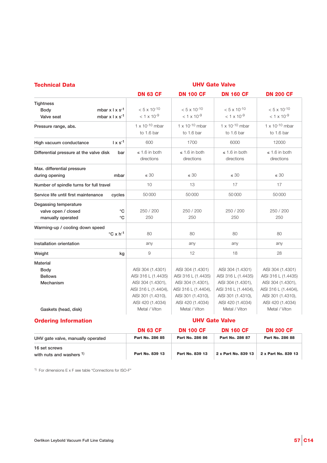| <b>Technical Data</b>                      | <b>UHV Gate Valve</b> |                          |                          |                          |                       |  |
|--------------------------------------------|-----------------------|--------------------------|--------------------------|--------------------------|-----------------------|--|
|                                            |                       | <b>DN 63 CF</b>          | <b>DN 100 CF</b>         | <b>DN 160 CF</b>         | <b>DN 200 CF</b>      |  |
| <b>Tightness</b>                           |                       |                          |                          |                          |                       |  |
| mbar $x \mid x \mid s^{-1}$<br><b>Body</b> |                       | $< 5 \times 10^{-10}$    | $< 5 \times 10^{-10}$    | $< 5 \times 10^{-10}$    | $< 5 \times 10^{-10}$ |  |
| mbar $x \mid x \mid s^{-1}$<br>Valve seat  |                       | $<$ 1 x 10 <sup>-9</sup> | $<$ 1 x 10 <sup>-9</sup> | $<$ 1 x 10 <sup>-9</sup> | $< 1 \times 10^{-9}$  |  |
| Pressure range, abs.                       |                       | $1 \times 10^{-10}$ mbar | $1 \times 10^{-10}$ mbar | $1 \times 10^{-10}$ mbar | 1 x $10^{-10}$ mbar   |  |
|                                            |                       | to 1.6 bar               | to 1.6 bar               | to 1.6 bar               | to 1.6 bar            |  |
| High vacuum conductance                    | $1 \times s^{-1}$     | 600                      | 1700                     | 6000                     | 12000                 |  |
| Differential pressure at the valve disk    | bar                   | $\leq 1.6$ in both       | $\leq 1.6$ in both       | $\leq 1.6$ in both       | $\leq 1.6$ in both    |  |
|                                            |                       | directions               | directions               | directions               | directions            |  |
| Max. differential pressure                 |                       |                          |                          |                          |                       |  |
| during opening                             | mbar                  | $\leq 30$                | $\leq 30$                | $\leq 30$                | $\leq 30$             |  |
| Number of spindle turns for full travel    |                       | 10                       | 13                       | 17                       | 17                    |  |
| Service life until first maintenance       | cycles                | 50000                    | 50000                    | 50000                    | 50000                 |  |
| Degassing temperature                      |                       |                          |                          |                          |                       |  |
| valve open / closed                        | $^{\circ}C$           | 250 / 200                | 250 / 200                | 250 / 200                | 250 / 200             |  |
| manually operated                          | °C                    | 250                      | 250                      | 250                      | 250                   |  |
| Warming-up / cooling down speed            |                       |                          |                          |                          |                       |  |
| $\mathrm{^{\circ}C}$ x h <sup>-1</sup>     |                       | 80                       | 80                       | 80                       | 80                    |  |
| Installation orientation                   |                       | any                      | any                      | any                      | any                   |  |
| Weight                                     | kg                    | 9                        | 12                       | 18                       | 28                    |  |
| <b>Material</b>                            |                       |                          |                          |                          |                       |  |
| <b>Body</b>                                |                       | AISI 304 (1.4301)        | AISI 304 (1.4301)        | AISI 304 (1.4301)        | AISI 304 (1.4301)     |  |
| <b>Bellows</b>                             |                       | AISI 316 L (1.4435)      | AISI 316 L (1.4435)      | AISI 316 L (1.4435)      | AISI 316 L (1.4435)   |  |
| Mechanism                                  |                       | AISI 304 (1.4301),       | AISI 304 (1.4301),       | AISI 304 (1.4301),       | AISI 304 (1.4301),    |  |
|                                            |                       | AISI 316 L (1.4404),     | AISI 316 L (1.4404),     | AISI 316 L (1.4404),     | AISI 316 L (1.4404),  |  |
|                                            |                       | AISI 301 (1.4310),       | AISI 301 (1.4310),       | AISI 301 (1.4310),       | AISI 301 (1.4310),    |  |
|                                            |                       | AISI 420 (1.4034)        | AISI 420 (1.4034)        | AISI 420 (1.4034)        | AISI 420 (1.4034)     |  |
| Gaskets (head, disk)                       |                       | Metal / Viton            | Metal / Viton            | Metal / Viton            | Metal / Viton         |  |
|                                            |                       |                          |                          |                          |                       |  |

#### **Ordering Information**

**UHV Gate Valve**

|                                           | <b>DN 63 CF</b> | <b>DN 100 CF</b> | <b>DN 160 CF</b>    | <b>DN 200 CF</b>    |
|-------------------------------------------|-----------------|------------------|---------------------|---------------------|
| UHV gate valve, manually operated         | Part No. 286 85 | Part No. 286 86  | Part No. 286 87     | Part No. 286 88     |
| 16 set screws<br>with nuts and washers 1) | Part No. 839 13 | Part No. 839 13  | 2 x Part No. 839 13 | 2 x Part No. 839 13 |

1) For dimensions  $E \times F$  see table "Connections for ISO-F"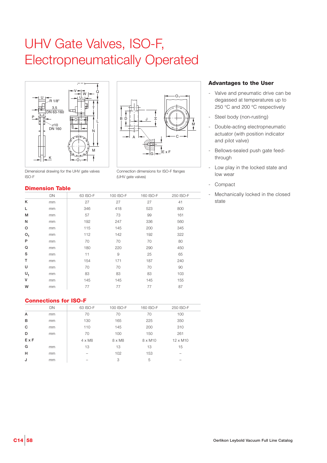# UHV Gate Valves, ISO-F, Electropneumatically Operated





Connection dimensions for ISO-F flanges

(UHV gate valves)

Dimensional drawing for the UHV gate valves ISO-F

#### **Dimension Table**

|                | DN | 63 ISO-F | 100 ISO-F | 160 ISO-F | 250 ISO-F |
|----------------|----|----------|-----------|-----------|-----------|
| κ              | mm | 27       | 27        | 27        | 41        |
| L              | mm | 346      | 418       | 523       | 800       |
| M              | mm | 57       | 73        | 99        | 161       |
| N              | mm | 192      | 247       | 336       | 560       |
| $\circ$        | mm | 115      | 145       | 200       | 345       |
| O <sub>1</sub> | mm | 112      | 142       | 192       | 322       |
| P              | mm | 70       | 70        | 70        | 80        |
| Q              | mm | 180      | 220       | 290       | 450       |
| S              | mm | 11       | 9         | 25        | 65        |
| T              | mm | 154      | 171       | 187       | 240       |
| U              | mm | 70       | 70        | 70        | 90        |
| $U_1$          | mm | 83       | 83        | 83        | 103       |
| v              | mm | 145      | 145       | 145       | 155       |
| W              | mm | 77       | 77        | 77        | 87        |
|                |    |          |           |           |           |

#### **Connections for ISO-F**

| <b>DN</b>     | 63 ISO-F      | 100 ISO-F | 160 ISO-F      | 250 ISO-F       |  |
|---------------|---------------|-----------|----------------|-----------------|--|
| mm            | 70            | 70        | 70             | 100             |  |
| <sub>mm</sub> | 130           | 165       | 225            | 350             |  |
| <sub>mm</sub> | 110           | 145       | 200            | 310             |  |
| mm            | 70            | 100       | 150            | 261             |  |
|               | $4 \times M8$ | 8 x M8    | $8 \times M10$ | $12 \times M10$ |  |
| mm            | 13            | 13        | 13             | 15              |  |
| mm            | -             | 102       | 153            | -               |  |
| mm            | -             | 3         | 5              |                 |  |
|               |               |           |                |                 |  |

- Valve and pneumatic drive can be degassed at temperatures up to 250 °C and 200 °C respectively
- Steel body (non-rusting)
- Double-acting electropneumatic actuator (with position indicator and pilot valve)
- Bellows-sealed push gate feedthrough
- Low play in the locked state and low wear
- **Compact**
- Mechanically locked in the closed state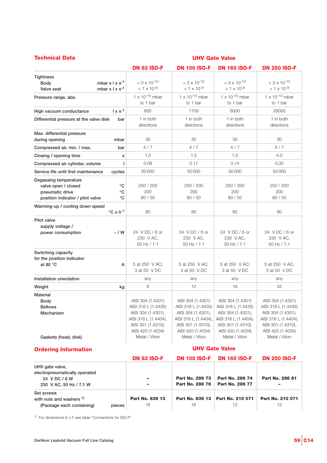| <b>Technical Data</b>                                                                                                 | <b>UHV Gate Valve</b>                                                                                                                              |                                                                                                                                                    |                                                                                                                                                    |                                                                                                                                                    |  |  |
|-----------------------------------------------------------------------------------------------------------------------|----------------------------------------------------------------------------------------------------------------------------------------------------|----------------------------------------------------------------------------------------------------------------------------------------------------|----------------------------------------------------------------------------------------------------------------------------------------------------|----------------------------------------------------------------------------------------------------------------------------------------------------|--|--|
|                                                                                                                       | <b>DN 63 ISO-F</b>                                                                                                                                 | <b>DN 100 ISO-F</b>                                                                                                                                | <b>DN 160 ISO-F</b>                                                                                                                                | <b>DN 250 ISO-F</b>                                                                                                                                |  |  |
| <b>Tightness</b><br>mbar $x \mid x s^{-1}$<br><b>Body</b><br>mbar $x \mid x \mid s^{-1}$<br>Valve seat                | $< 5 \times 10^{-10}$<br>$<$ 1 x 10 <sup>-9</sup>                                                                                                  | $< 5 \times 10^{-10}$<br>$< 1 \times 10^{-9}$                                                                                                      | $< 5 \times 10^{-10}$<br>$< 1 \times 10^{-9}$                                                                                                      | $< 5 \times 10^{-10}$<br>$< 1 \times 10^{-9}$                                                                                                      |  |  |
| Pressure range, abs.                                                                                                  | $1 \times 10^{-10}$ mbar<br>to 1 bar                                                                                                               | $1 \times 10^{-10}$ mbar<br>to 1 bar                                                                                                               | $1 \times 10^{-10}$ mbar<br>to 1 bar                                                                                                               | $1 \times 10^{-10}$ mbar<br>to 1 bar                                                                                                               |  |  |
| $1 \times s^{-1}$<br>High vacuum conductance                                                                          | 600                                                                                                                                                | 1700                                                                                                                                               | 6000                                                                                                                                               | 26000                                                                                                                                              |  |  |
| Differential pressure at the valve disk<br>bar                                                                        | 1 in both<br>directions                                                                                                                            | 1 in both<br>directions                                                                                                                            | 1 in both<br>directions                                                                                                                            | 1 in both<br>directions                                                                                                                            |  |  |
| Max. differential pressure<br>during opening<br>mbar                                                                  | 30                                                                                                                                                 | 30                                                                                                                                                 | 30                                                                                                                                                 | 30                                                                                                                                                 |  |  |
| Compressed air, min. / max.<br>bar                                                                                    | 4/7                                                                                                                                                | 4/7                                                                                                                                                | 4/7                                                                                                                                                | 5/7                                                                                                                                                |  |  |
| Closing / opening time<br>s                                                                                           | 1.0                                                                                                                                                | 1.2                                                                                                                                                | 1.5                                                                                                                                                | 4.0                                                                                                                                                |  |  |
| т<br>Compressed air cylinder, volume                                                                                  | 0.08                                                                                                                                               | 0.11                                                                                                                                               | 0.14                                                                                                                                               | 0.35                                                                                                                                               |  |  |
| Service life until first maintenance<br>cycles                                                                        | 50000                                                                                                                                              | 50000                                                                                                                                              | 50000                                                                                                                                              | 50000                                                                                                                                              |  |  |
| Degassing temperature<br>valve open / closed<br>°C<br>°C<br>pneumatic drive<br>°C<br>position indicator / pilot valve | 250 / 200<br>200<br>80 / 50                                                                                                                        | 250 / 200<br>200<br>80 / 50                                                                                                                        | 250 / 200<br>200<br>80 / 50                                                                                                                        | 250 / 200<br>200<br>80 / 50                                                                                                                        |  |  |
| Warming-up / cooling down speed<br>$\mathrm{^{\circ}C}$ x h <sup>-1</sup>                                             | 80                                                                                                                                                 | 80                                                                                                                                                 | 80                                                                                                                                                 | 80                                                                                                                                                 |  |  |
| Pilot valve<br>supply voltage /<br>- / W<br>power consumption                                                         | 24 VDC/6 or<br>230 V AC,<br>50 Hz / 7.1                                                                                                            | 24 VDC/6 or<br>230 V AC,<br>50 Hz / 7.1                                                                                                            | 24 VDC/6 or<br>230 V AC,<br>50 Hz / 7.1                                                                                                            | 24 VDC/6 or<br>230 V AC,<br>50 Hz / 7.1                                                                                                            |  |  |
| Switching capacity<br>for the position indicator<br>at 80 °C<br>A                                                     | 5 at 250 V AC;<br>3 at 50 V DC                                                                                                                     | 5 at 250 V AC:<br>3 at 50 V DC                                                                                                                     | 5 at 250 V AC:<br>3 at 50 V DC                                                                                                                     | 5 at 250 V AC;<br>3 at 50 V DC                                                                                                                     |  |  |
| Installation orientation                                                                                              | any                                                                                                                                                | any                                                                                                                                                | any                                                                                                                                                | any                                                                                                                                                |  |  |
| Weight<br>kg                                                                                                          | 9                                                                                                                                                  | 12                                                                                                                                                 | 18                                                                                                                                                 | 42                                                                                                                                                 |  |  |
| <b>Material</b><br>Body<br><b>Bellows</b><br>Mechanism<br>Gaskets (head, disk)                                        | AISI 304 (1.4301)<br>AISI 316 L (1.4435)<br>AISI 304 (1.4301),<br>AISI 316 L (1.4404),<br>AISI 301 (1.4310),<br>AISI 420 (1.4034)<br>Metal / Viton | AISI 304 (1.4301)<br>AISI 316 L (1.4435)<br>AISI 304 (1.4301),<br>AISI 316 L (1.4404),<br>AISI 301 (1.4310),<br>AISI 420 (1.4034)<br>Metal / Viton | AISI 304 (1.4301)<br>AISI 316 L (1.4435)<br>AISI 304 (1.4301),<br>AISI 316 L (1.4404),<br>AISI 301 (1.4310),<br>AISI 420 (1.4034)<br>Metal / Viton | AISI 304 (1.4301)<br>AISI 316 L (1.4435)<br>AISI 304 (1.4301),<br>AISI 316 L (1.4404),<br>AISI 301 (1.4310),<br>AISI 420 (1.4034)<br>Metal / Viton |  |  |
| <b>Ordering Information</b>                                                                                           |                                                                                                                                                    |                                                                                                                                                    | <b>UHV Gate Valve</b>                                                                                                                              |                                                                                                                                                    |  |  |
|                                                                                                                       | <b>DN 63 ISO-F</b>                                                                                                                                 | <b>DN 100 ISO-F</b>                                                                                                                                | <b>DN 160 ISO-F</b>                                                                                                                                | <b>DN 250 ISO-F</b>                                                                                                                                |  |  |
| UHV gate valve,<br>electropneumatically operated<br>24 V DC / 6 W<br>230 V AC, 50 Hz / 7.1 W                          |                                                                                                                                                    | Part No. 286 73<br>Part No. 286 76                                                                                                                 | Part No. 286 74<br>Part No. 286 77                                                                                                                 | Part No. 286 81                                                                                                                                    |  |  |

**Part No. 839 13 Part No. 839 13 Part No. 210 071 Part No. 210 071** 16 16 12 12

 $1)$  For dimensions E x F see table "Connections for ISO-F"

**(Package each containing) pieces**

**Set screws** 

**with nuts and washers 1)**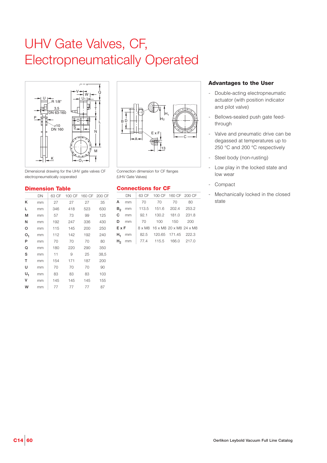# UHV Gate Valves, CF, Electropneumatically Operated



Dimensional drawing for the UHV gate valves CF electropneumatically ooperated

#### **Dimension Table**

|    | DN | 63 CF | 100 CF |     | 160 CF 200 CF |
|----|----|-------|--------|-----|---------------|
| κ  | mm | 27    | 27     | 27  | 35            |
| L  | mm | 346   | 418    | 523 | 630           |
| м  | mm | 57    | 73     | 99  | 125           |
| Ν  | mm | 192   | 247    | 336 | 430           |
| o  | mm | 115   | 145    | 200 | 250           |
| ο, | mm | 112   | 142    | 192 | 240           |
| P  | mm | 70    | 70     | 70  | 80            |
| Q  | mm | 180   | 220    | 290 | 350           |
| S  | mm | 11    | 9      | 25  | 38,5          |
| T  | mm | 154   | 171    | 187 | 200           |
| U  | mm | 70    | 70     | 70  | 90            |
| U, | mm | 83    | 83     | 83  | 103           |
| v  | mm | 145   | 145    | 145 | 155           |
| w  | mm | 77    | 77     | 77  | 87            |
|    |    |       |        |     |               |



Connection dimension for CF flanges (UHV Gate Valves)

#### **Connections for CF**

| DN |                                               |    |                                                                                                                                                                                             |
|----|-----------------------------------------------|----|---------------------------------------------------------------------------------------------------------------------------------------------------------------------------------------------|
|    | 70                                            |    | 80                                                                                                                                                                                          |
|    |                                               |    |                                                                                                                                                                                             |
|    |                                               |    |                                                                                                                                                                                             |
|    |                                               |    | - 200                                                                                                                                                                                       |
|    |                                               |    |                                                                                                                                                                                             |
|    |                                               |    |                                                                                                                                                                                             |
|    |                                               |    |                                                                                                                                                                                             |
|    | $A$ mm<br>mm<br>mm<br>D mm<br>ExF<br>mm<br>mm | 70 | 63 CF 100 CF 160 CF 200 CF<br>70<br>113.5 151.6 202.4 253.2<br>92.1 130.2 181.0 231.8<br>70 100 150<br>8 x M8 16 x M8 20 x M8 24 x M8<br>82.5 120.65 171.45 222.3<br>77.4 115.5 166.0 217.0 |

- Double-acting electropneumatic actuator (with position indicator and pilot valve)
- Bellows-sealed push gate feedthrough
- Valve and pneumatic drive can be degassed at temperatures up to 250 °C and 200 °C respectively
- Steel body (non-rusting)
- Low play in the locked state and low wear
- Compact
- Mechanically locked in the closed state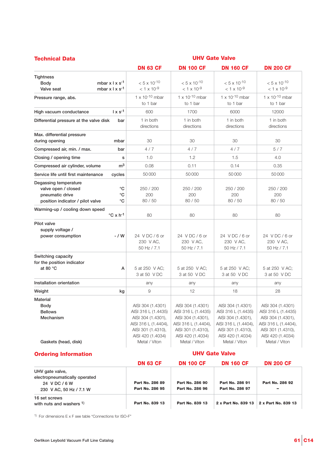| <b>Technical Data</b>                                                                                |                                                                                                                                                    | <b>UHV Gate Valve</b>                                                                                                                              |                                                                                                                                                    |                                                                                                                                                    |  |  |  |
|------------------------------------------------------------------------------------------------------|----------------------------------------------------------------------------------------------------------------------------------------------------|----------------------------------------------------------------------------------------------------------------------------------------------------|----------------------------------------------------------------------------------------------------------------------------------------------------|----------------------------------------------------------------------------------------------------------------------------------------------------|--|--|--|
|                                                                                                      | <b>DN 63 CF</b>                                                                                                                                    | <b>DN 100 CF</b>                                                                                                                                   | <b>DN 160 CF</b>                                                                                                                                   | <b>DN 200 CF</b>                                                                                                                                   |  |  |  |
| <b>Tightness</b><br>mbar $x \perp x$ s <sup>-1</sup><br>Body<br>mbar $x \mid x s^{-1}$<br>Valve seat | $< 5 \times 10^{-10}$<br>$<$ 1 x 10 <sup>-9</sup>                                                                                                  | $< 5 \times 10^{-10}$<br>$<$ 1 x 10 <sup>-9</sup>                                                                                                  | $< 5 \times 10^{-10}$<br>$< 1 \times 10^{-9}$                                                                                                      | $< 5 \times 10^{-10}$<br>$< 1 \times 10^{-9}$                                                                                                      |  |  |  |
| Pressure range, abs.                                                                                 | $1 \times 10^{-10}$ mbar<br>to 1 bar                                                                                                               | $1 \times 10^{-10}$ mbar<br>to 1 bar                                                                                                               | $1 \times 10^{-10}$ mbar<br>to 1 bar                                                                                                               | $1 \times 10^{-10}$ mbar<br>to 1 bar                                                                                                               |  |  |  |
| $1 \times s^{-1}$<br>High vacuum conductance                                                         | 600                                                                                                                                                | 1700                                                                                                                                               | 6000                                                                                                                                               | 12000                                                                                                                                              |  |  |  |
| Differential pressure at the valve disk                                                              | 1 in both<br>bar<br>directions                                                                                                                     | 1 in both<br>directions                                                                                                                            | 1 in both<br>directions                                                                                                                            | 1 in both<br>directions                                                                                                                            |  |  |  |
| Max. differential pressure<br>during opening<br>mbar                                                 | 30                                                                                                                                                 | 30                                                                                                                                                 | 30                                                                                                                                                 | 30                                                                                                                                                 |  |  |  |
| Compressed air, min. / max.                                                                          | 4 / 7<br>bar                                                                                                                                       | 4/7                                                                                                                                                | 4/7                                                                                                                                                | 5/7                                                                                                                                                |  |  |  |
| Closing / opening time                                                                               | 1.0<br>S                                                                                                                                           | 1.2                                                                                                                                                | 1.5                                                                                                                                                | 4.0                                                                                                                                                |  |  |  |
| Compressed air cylinder, volume                                                                      | m <sup>3</sup><br>0.08                                                                                                                             | 0.11                                                                                                                                               | 0.14                                                                                                                                               | 0.35                                                                                                                                               |  |  |  |
| Service life until first maintenance<br>cycles                                                       | 50000                                                                                                                                              | 50000                                                                                                                                              | 50000                                                                                                                                              | 50000                                                                                                                                              |  |  |  |
| Degassing temperature<br>valve open / closed<br>pneumatic drive<br>position indicator / pilot valve  | °C<br>250 / 200<br>°C<br>200<br>$^{\circ}$ C<br>80 / 50                                                                                            | 250 / 200<br>200<br>80 / 50                                                                                                                        | 250 / 200<br>200<br>80 / 50                                                                                                                        | 250 / 200<br>200<br>80/50                                                                                                                          |  |  |  |
| Warming-up / cooling down speed<br>$^{\circ}$ C x h <sup>-1</sup>                                    | 80                                                                                                                                                 | 80                                                                                                                                                 | 80                                                                                                                                                 | 80                                                                                                                                                 |  |  |  |
| Pilot valve<br>supply voltage /<br>power consumption<br>- / W                                        | 24 VDC/6 or<br>230 V AC,<br>50 Hz / 7.1                                                                                                            | 24 VDC/6 or<br>230 V AC,<br>50 Hz / 7.1                                                                                                            | 24 VDC/6 or<br>230 V AC,<br>50 Hz / 7.1                                                                                                            | 24 VDC/6 or<br>230 V AC,<br>50 Hz / 7.1                                                                                                            |  |  |  |
| Switching capacity<br>for the position indicator<br>at 80 $^{\circ}$ C                               | 5 at 250 V AC;<br>А<br>3 at 50 V DC                                                                                                                | 5 at 250 V AC;<br>3 at 50 V DC                                                                                                                     | 5 at 250 V AC;<br>3 at 50 V DC                                                                                                                     | 5 at 250 V AC;<br>3 at 50 V DC                                                                                                                     |  |  |  |
| Installation orientation                                                                             | any                                                                                                                                                | any                                                                                                                                                | any                                                                                                                                                | any                                                                                                                                                |  |  |  |
| Weight                                                                                               | 9<br>kg                                                                                                                                            | 12                                                                                                                                                 | 18                                                                                                                                                 | 28                                                                                                                                                 |  |  |  |
| <b>Material</b><br>Body<br><b>Bellows</b><br>Mechanism<br>Gaskets (head, disk)                       | AISI 304 (1.4301)<br>AISI 316 L (1.4435)<br>AISI 304 (1.4301),<br>AISI 316 L (1.4404),<br>AISI 301 (1.4310),<br>AISI 420 (1.4034)<br>Metal / Viton | AISI 304 (1.4301)<br>AISI 316 L (1.4435)<br>AISI 304 (1.4301),<br>AISI 316 L (1.4404),<br>AISI 301 (1.4310),<br>AISI 420 (1.4034)<br>Metal / Viton | AISI 304 (1.4301)<br>AISI 316 L (1.4435)<br>AISI 304 (1.4301),<br>AISI 316 L (1.4404),<br>AISI 301 (1.4310),<br>AISI 420 (1.4034)<br>Metal / Viton | AISI 304 (1.4301)<br>AISI 316 L (1.4435)<br>AISI 304 (1.4301),<br>AISI 316 L (1.4404),<br>AISI 301 (1.4310),<br>AISI 420 (1.4034)<br>Metal / Viton |  |  |  |
| <b>Ordering Information</b>                                                                          |                                                                                                                                                    |                                                                                                                                                    | <b>UHV Gate Valve</b>                                                                                                                              |                                                                                                                                                    |  |  |  |
|                                                                                                      | <b>DN 63 CF</b>                                                                                                                                    | <b>DN 100 CF</b>                                                                                                                                   | <b>DN 160 CF</b>                                                                                                                                   | <b>DN 200 CF</b>                                                                                                                                   |  |  |  |
| UHV gate valve,<br>electropneumatically operated<br>24 V DC / 6 W<br>230 V AC, 50 Hz / 7.1 W         | Part No. 286 89<br>Part No. 286 95                                                                                                                 | Part No. 286 90<br>Part No. 286 96                                                                                                                 | Part No. 286 91<br>Part No. 286 97                                                                                                                 | Part No. 286 92                                                                                                                                    |  |  |  |
| 16 set screws<br>with nuts and washers 1)                                                            | Part No. 839 13                                                                                                                                    | Part No. 839 13                                                                                                                                    | 2 x Part No. 839 13                                                                                                                                | 2 x Part No. 839 13                                                                                                                                |  |  |  |

 $1)$  For dimensions E x F see table "Connections for ISO-F"